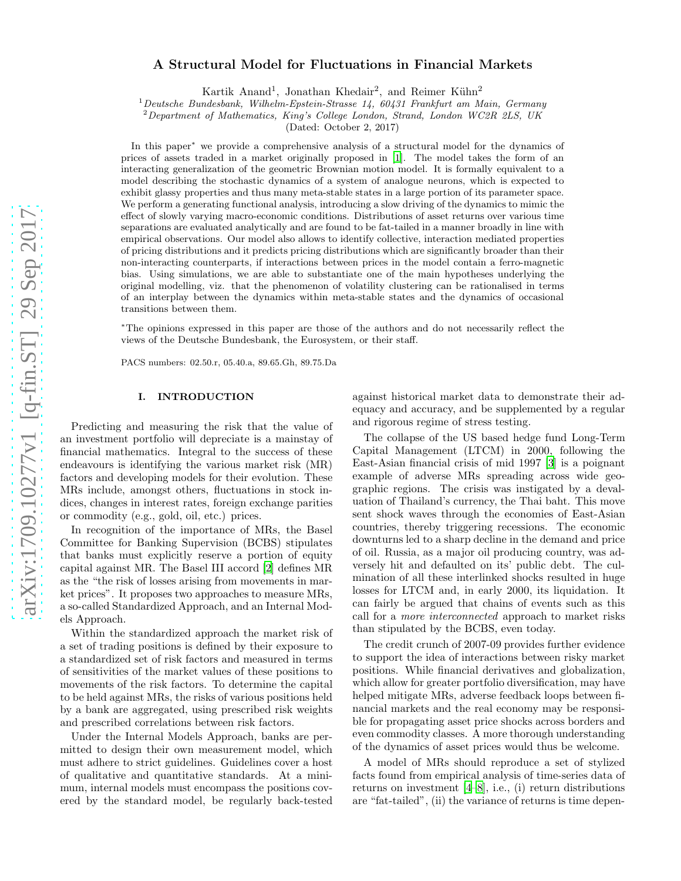# arXiv:1709.10277v1 [q-fin.ST] 29 Sep 2017 [arXiv:1709.10277v1 \[q-fin.ST\] 29 Sep 2017](http://arxiv.org/abs/1709.10277v1)

# A Structural Model for Fluctuations in Financial Markets

Kartik Anand<sup>1</sup>, Jonathan Khedair<sup>2</sup>, and Reimer Kühn<sup>2</sup>

<sup>1</sup>*Deutsche Bundesbank, Wilhelm-Epstein-Strasse 14, 60431 Frankfurt am Main, Germany*

<sup>2</sup>*Department of Mathematics, King's College London, Strand, London WC2R 2LS, UK*

(Dated: October 2, 2017)

In this paper<sup>∗</sup> we provide a comprehensive analysis of a structural model for the dynamics of prices of assets traded in a market originally proposed in [\[1\]](#page-14-0). The model takes the form of an interacting generalization of the geometric Brownian motion model. It is formally equivalent to a model describing the stochastic dynamics of a system of analogue neurons, which is expected to exhibit glassy properties and thus many meta-stable states in a large portion of its parameter space. We perform a generating functional analysis, introducing a slow driving of the dynamics to mimic the effect of slowly varying macro-economic conditions. Distributions of asset returns over various time separations are evaluated analytically and are found to be fat-tailed in a manner broadly in line with empirical observations. Our model also allows to identify collective, interaction mediated properties of pricing distributions and it predicts pricing distributions which are significantly broader than their non-interacting counterparts, if interactions between prices in the model contain a ferro-magnetic bias. Using simulations, we are able to substantiate one of the main hypotheses underlying the original modelling, viz. that the phenomenon of volatility clustering can be rationalised in terms of an interplay between the dynamics within meta-stable states and the dynamics of occasional transitions between them.

<sup>∗</sup>The opinions expressed in this paper are those of the authors and do not necessarily reflect the views of the Deutsche Bundesbank, the Eurosystem, or their staff.

PACS numbers: 02.50.r, 05.40.a, 89.65.Gh, 89.75.Da

# I. INTRODUCTION

Predicting and measuring the risk that the value of an investment portfolio will depreciate is a mainstay of financial mathematics. Integral to the success of these endeavours is identifying the various market risk (MR) factors and developing models for their evolution. These MRs include, amongst others, fluctuations in stock indices, changes in interest rates, foreign exchange parities or commodity (e.g., gold, oil, etc.) prices.

In recognition of the importance of MRs, the Basel Committee for Banking Supervision (BCBS) stipulates that banks must explicitly reserve a portion of equity capital against MR. The Basel III accord [\[2\]](#page-14-1) defines MR as the "the risk of losses arising from movements in market prices". It proposes two approaches to measure MRs, a so-called Standardized Approach, and an Internal Models Approach.

Within the standardized approach the market risk of a set of trading positions is defined by their exposure to a standardized set of risk factors and measured in terms of sensitivities of the market values of these positions to movements of the risk factors. To determine the capital to be held against MRs, the risks of various positions held by a bank are aggregated, using prescribed risk weights and prescribed correlations between risk factors.

Under the Internal Models Approach, banks are permitted to design their own measurement model, which must adhere to strict guidelines. Guidelines cover a host of qualitative and quantitative standards. At a minimum, internal models must encompass the positions covered by the standard model, be regularly back-tested

against historical market data to demonstrate their adequacy and accuracy, and be supplemented by a regular and rigorous regime of stress testing.

The collapse of the US based hedge fund Long-Term Capital Management (LTCM) in 2000, following the East-Asian financial crisis of mid 1997 [\[3\]](#page-14-2) is a poignant example of adverse MRs spreading across wide geographic regions. The crisis was instigated by a devaluation of Thailand's currency, the Thai baht. This move sent shock waves through the economies of East-Asian countries, thereby triggering recessions. The economic downturns led to a sharp decline in the demand and price of oil. Russia, as a major oil producing country, was adversely hit and defaulted on its' public debt. The culmination of all these interlinked shocks resulted in huge losses for LTCM and, in early 2000, its liquidation. It can fairly be argued that chains of events such as this call for a more interconnected approach to market risks than stipulated by the BCBS, even today.

The credit crunch of 2007-09 provides further evidence to support the idea of interactions between risky market positions. While financial derivatives and globalization, which allow for greater portfolio diversification, may have helped mitigate MRs, adverse feedback loops between financial markets and the real economy may be responsible for propagating asset price shocks across borders and even commodity classes. A more thorough understanding of the dynamics of asset prices would thus be welcome.

A model of MRs should reproduce a set of stylized facts found from empirical analysis of time-series data of returns on investment [\[4](#page-14-3)[–8](#page-14-4)], i.e., (i) return distributions are "fat-tailed", (ii) the variance of returns is time depen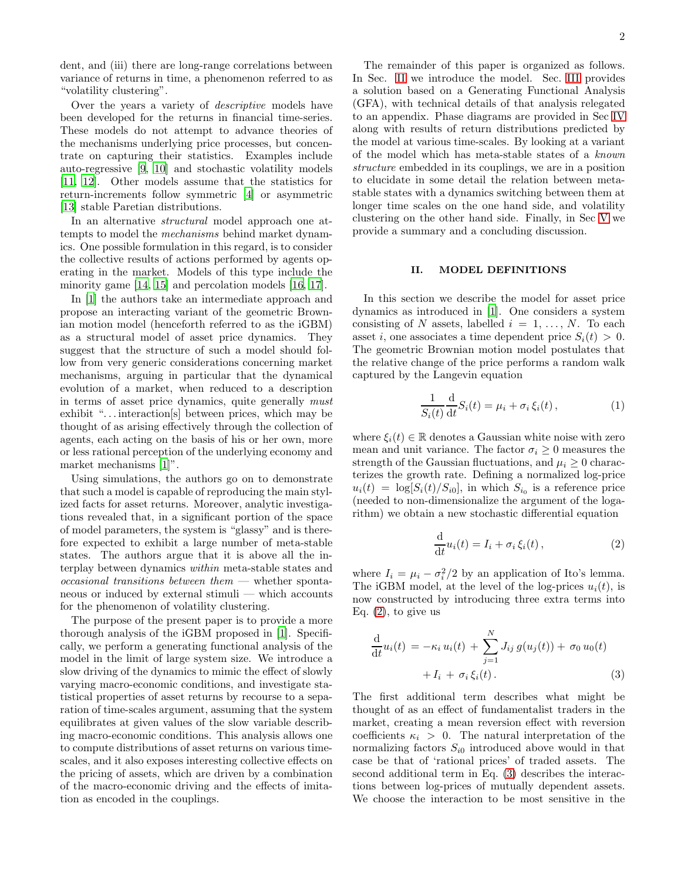dent, and (iii) there are long-range correlations between variance of returns in time, a phenomenon referred to as "volatility clustering".

Over the years a variety of descriptive models have been developed for the returns in financial time-series. These models do not attempt to advance theories of the mechanisms underlying price processes, but concentrate on capturing their statistics. Examples include auto-regressive [\[9](#page-14-5), [10\]](#page-14-6) and stochastic volatility models [\[11,](#page-15-0) [12\]](#page-15-1). Other models assume that the statistics for return-increments follow symmetric [\[4](#page-14-3)] or asymmetric [\[13\]](#page-15-2) stable Paretian distributions.

In an alternative *structural* model approach one attempts to model the mechanisms behind market dynamics. One possible formulation in this regard, is to consider the collective results of actions performed by agents operating in the market. Models of this type include the minority game [\[14](#page-15-3), [15](#page-15-4)] and percolation models [\[16,](#page-15-5) [17\]](#page-15-6).

In [\[1\]](#page-14-0) the authors take an intermediate approach and propose an interacting variant of the geometric Brownian motion model (henceforth referred to as the iGBM) as a structural model of asset price dynamics. They suggest that the structure of such a model should follow from very generic considerations concerning market mechanisms, arguing in particular that the dynamical evolution of a market, when reduced to a description in terms of asset price dynamics, quite generally must exhibit "... interactions between prices, which may be thought of as arising effectively through the collection of agents, each acting on the basis of his or her own, more or less rational perception of the underlying economy and market mechanisms [\[1\]](#page-14-0)".

Using simulations, the authors go on to demonstrate that such a model is capable of reproducing the main stylized facts for asset returns. Moreover, analytic investigations revealed that, in a significant portion of the space of model parameters, the system is "glassy" and is therefore expected to exhibit a large number of meta-stable states. The authors argue that it is above all the interplay between dynamics within meta-stable states and  $occasional$  transitions between them  $-$  whether spontaneous or induced by external stimuli — which accounts for the phenomenon of volatility clustering.

The purpose of the present paper is to provide a more thorough analysis of the iGBM proposed in [\[1\]](#page-14-0). Specifically, we perform a generating functional analysis of the model in the limit of large system size. We introduce a slow driving of the dynamics to mimic the effect of slowly varying macro-economic conditions, and investigate statistical properties of asset returns by recourse to a separation of time-scales argument, assuming that the system equilibrates at given values of the slow variable describing macro-economic conditions. This analysis allows one to compute distributions of asset returns on various timescales, and it also exposes interesting collective effects on the pricing of assets, which are driven by a combination of the macro-economic driving and the effects of imitation as encoded in the couplings.

The remainder of this paper is organized as follows. In Sec. [II](#page-1-0) we introduce the model. Sec. [III](#page-2-0) provides a solution based on a Generating Functional Analysis (GFA), with technical details of that analysis relegated to an appendix. Phase diagrams are provided in Sec [IV](#page-5-0) along with results of return distributions predicted by the model at various time-scales. By looking at a variant of the model which has meta-stable states of a known structure embedded in its couplings, we are in a position to elucidate in some detail the relation between metastable states with a dynamics switching between them at longer time scales on the one hand side, and volatility clustering on the other hand side. Finally, in Sec [V](#page-11-0) we provide a summary and a concluding discussion.

# <span id="page-1-0"></span>II. MODEL DEFINITIONS

In this section we describe the model for asset price dynamics as introduced in [\[1\]](#page-14-0). One considers a system consisting of N assets, labelled  $i = 1, \ldots, N$ . To each asset i, one associates a time dependent price  $S_i(t) > 0$ . The geometric Brownian motion model postulates that the relative change of the price performs a random walk captured by the Langevin equation

$$
\frac{1}{S_i(t)}\frac{\mathrm{d}}{\mathrm{d}t}S_i(t) = \mu_i + \sigma_i \,\xi_i(t)\,,\tag{1}
$$

where  $\xi_i(t) \in \mathbb{R}$  denotes a Gaussian white noise with zero mean and unit variance. The factor  $\sigma_i \geq 0$  measures the strength of the Gaussian fluctuations, and  $\mu_i \geq 0$  characterizes the growth rate. Defining a normalized log-price  $u_i(t) = \log[S_i(t)/S_{i0}],$  in which  $S_{i_0}$  is a reference price (needed to non-dimensionalize the argument of the logarithm) we obtain a new stochastic differential equation

<span id="page-1-1"></span>
$$
\frac{\mathrm{d}}{\mathrm{d}t}u_i(t) = I_i + \sigma_i \,\xi_i(t) \,, \tag{2}
$$

where  $I_i = \mu_i - \sigma_i^2/2$  by an application of Ito's lemma. The iGBM model, at the level of the log-prices  $u_i(t)$ , is now constructed by introducing three extra terms into Eq.  $(2)$ , to give us

<span id="page-1-2"></span>
$$
\frac{d}{dt}u_i(t) = -\kappa_i u_i(t) + \sum_{j=1}^{N} J_{ij} g(u_j(t)) + \sigma_0 u_0(t) + I_i + \sigma_i \xi_i(t).
$$
\n(3)

The first additional term describes what might be thought of as an effect of fundamentalist traders in the market, creating a mean reversion effect with reversion coefficients  $\kappa_i > 0$ . The natural interpretation of the normalizing factors  $S_{i0}$  introduced above would in that case be that of 'rational prices' of traded assets. The second additional term in Eq. [\(3\)](#page-1-2) describes the interactions between log-prices of mutually dependent assets. We choose the interaction to be most sensitive in the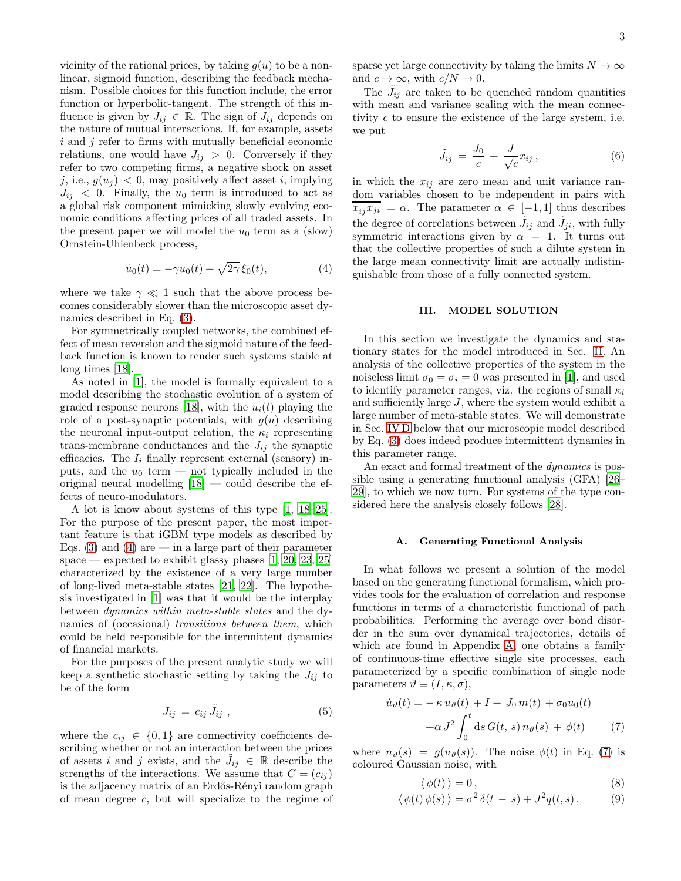vicinity of the rational prices, by taking  $g(u)$  to be a nonlinear, sigmoid function, describing the feedback mechanism. Possible choices for this function include, the error function or hyperbolic-tangent. The strength of this influence is given by  $J_{ij} \in \mathbb{R}$ . The sign of  $J_{ij}$  depends on the nature of mutual interactions. If, for example, assets  $i$  and  $j$  refer to firms with mutually beneficial economic relations, one would have  $J_{ij} > 0$ . Conversely if they refer to two competing firms, a negative shock on asset j, i.e.,  $g(u_j) < 0$ , may positively affect asset i, implying  $J_{ij}$  < 0. Finally, the  $u_0$  term is introduced to act as a global risk component mimicking slowly evolving economic conditions affecting prices of all traded assets. In the present paper we will model the  $u_0$  term as a (slow) Ornstein-Uhlenbeck process,

<span id="page-2-1"></span>
$$
\dot{u}_0(t) = -\gamma u_0(t) + \sqrt{2\gamma} \xi_0(t),\tag{4}
$$

where we take  $\gamma \ll 1$  such that the above process becomes considerably slower than the microscopic asset dynamics described in Eq. [\(3\)](#page-1-2).

For symmetrically coupled networks, the combined effect of mean reversion and the sigmoid nature of the feedback function is known to render such systems stable at long times [\[18\]](#page-15-7).

As noted in [\[1\]](#page-14-0), the model is formally equivalent to a model describing the stochastic evolution of a system of graded response neurons [\[18](#page-15-7)], with the  $u_i(t)$  playing the role of a post-synaptic potentials, with  $q(u)$  describing the neuronal input-output relation, the  $\kappa_i$  representing trans-membrane conductances and the  $J_{ij}$  the synaptic efficacies. The  $I_i$  finally represent external (sensory) inputs, and the  $u_0$  term — not typically included in the original neural modelling  $[18]$  — could describe the effects of neuro-modulators.

A lot is know about systems of this type [\[1,](#page-14-0) [18](#page-15-7)[–25\]](#page-15-8). For the purpose of the present paper, the most important feature is that iGBM type models as described by Eqs. [\(3\)](#page-1-2) and [\(4\)](#page-2-1) are — in a large part of their parameter space — expected to exhibit glassy phases  $[1, 20, 23, 25]$  $[1, 20, 23, 25]$  $[1, 20, 23, 25]$  $[1, 20, 23, 25]$  $[1, 20, 23, 25]$ characterized by the existence of a very large number of long-lived meta-stable states [\[21,](#page-15-11) [22](#page-15-12)]. The hypothesis investigated in [\[1\]](#page-14-0) was that it would be the interplay between dynamics within meta-stable states and the dynamics of (occasional) transitions between them, which could be held responsible for the intermittent dynamics of financial markets.

For the purposes of the present analytic study we will keep a synthetic stochastic setting by taking the  $J_{ij}$  to be of the form

<span id="page-2-4"></span>
$$
J_{ij} = c_{ij} \, \tilde{J}_{ij} \tag{5}
$$

where the  $c_{ij} \in \{0,1\}$  are connectivity coefficients describing whether or not an interaction between the prices of assets i and j exists, and the  $\tilde{J}_{ij} \in \mathbb{R}$  describe the strengths of the interactions. We assume that  $C = (c_{ij})$ is the adjacency matrix of an Erdős-Rényi random graph of mean degree c, but will specialize to the regime of sparse yet large connectivity by taking the limits  $N \to \infty$ and  $c \to \infty$ , with  $c/N \to 0$ .

The  $\tilde{J}_{ij}$  are taken to be quenched random quantities with mean and variance scaling with the mean connectivity c to ensure the existence of the large system, i.e. we put

<span id="page-2-5"></span>
$$
\tilde{J}_{ij} = \frac{J_0}{c} + \frac{J}{\sqrt{c}} x_{ij},\qquad(6)
$$

in which the  $x_{ij}$  are zero mean and unit variance random variables chosen to be independent in pairs with  $x_{ij}x_{ji} = \alpha$ . The parameter  $\alpha \in [-1,1]$  thus describes the degree of correlations between  $\tilde{J}_{ij}$  and  $\tilde{J}_{ji}$ , with fully symmetric interactions given by  $\alpha = 1$ . It turns out that the collective properties of such a dilute system in the large mean connectivity limit are actually indistinguishable from those of a fully connected system.

# <span id="page-2-0"></span>III. MODEL SOLUTION

In this section we investigate the dynamics and stationary states for the model introduced in Sec. [II.](#page-1-0) An analysis of the collective properties of the system in the noiseless limit  $\sigma_0 = \sigma_i = 0$  was presented in [\[1](#page-14-0)], and used to identify parameter ranges, viz. the regions of small  $\kappa_i$ and sufficiently large J, where the system would exhibit a large number of meta-stable states. We will demonstrate in Sec. [IV D](#page-10-0) below that our microscopic model described by Eq. [\(3\)](#page-1-2) does indeed produce intermittent dynamics in this parameter range.

An exact and formal treatment of the *dynamics* is possible using a generating functional analysis (GFA) [\[26](#page-15-13)– [29](#page-15-14)], to which we now turn. For systems of the type considered here the analysis closely follows [\[28](#page-15-15)].

### A. Generating Functional Analysis

In what follows we present a solution of the model based on the generating functional formalism, which provides tools for the evaluation of correlation and response functions in terms of a characteristic functional of path probabilities. Performing the average over bond disorder in the sum over dynamical trajectories, details of which are found in Appendix [A,](#page-12-0) one obtains a family of continuous-time effective single site processes, each parameterized by a specific combination of single node parameters  $\vartheta \equiv (I, \kappa, \sigma),$ 

<span id="page-2-2"></span>
$$
\dot{u}_{\vartheta}(t) = -\kappa u_{\vartheta}(t) + I + J_0 m(t) + \sigma_0 u_0(t)
$$

$$
+ \alpha J^2 \int_0^t \mathrm{d}s \, G(t, s) \, n_{\vartheta}(s) + \phi(t) \tag{7}
$$

where  $n_{\vartheta}(s) = g(u_{\vartheta}(s))$ . The noise  $\phi(t)$  in Eq. [\(7\)](#page-2-2) is coloured Gaussian noise, with

<span id="page-2-3"></span>
$$
\langle \phi(t) \rangle = 0, \tag{8}
$$

$$
\langle \phi(t)\,\phi(s)\,\rangle = \sigma^2\,\delta(t-s) + J^2q(t,s). \tag{9}
$$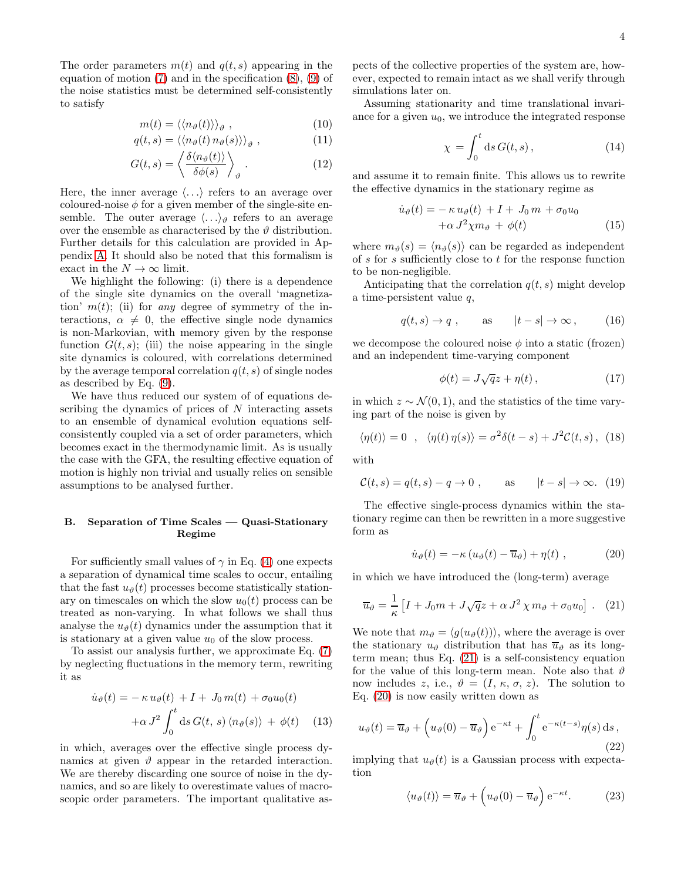The order parameters  $m(t)$  and  $q(t, s)$  appearing in the equation of motion  $(7)$  and in the specification  $(8)$ ,  $(9)$  of the noise statistics must be determined self-consistently to satisfy

$$
m(t) = \langle \langle n_{\vartheta}(t) \rangle \rangle_{\vartheta} , \qquad (10)
$$

$$
q(t,s) = \langle \langle n_{\vartheta}(t) n_{\vartheta}(s) \rangle \rangle_{\vartheta} , \qquad (11)
$$

$$
G(t,s) = \left\langle \frac{\delta \langle n_{\vartheta}(t) \rangle}{\delta \phi(s)} \right\rangle_{\vartheta} . \tag{12}
$$

Here, the inner average  $\langle \ldots \rangle$  refers to an average over coloured-noise  $\phi$  for a given member of the single-site ensemble. The outer average  $\langle \ldots \rangle_{\vartheta}$  refers to an average over the ensemble as characterised by the  $\vartheta$  distribution. Further details for this calculation are provided in Appendix [A.](#page-12-0) It should also be noted that this formalism is exact in the  $N \to \infty$  limit.

We highlight the following: (i) there is a dependence of the single site dynamics on the overall 'magnetization'  $m(t)$ ; (ii) for any degree of symmetry of the interactions,  $\alpha \neq 0$ , the effective single node dynamics is non-Markovian, with memory given by the response function  $G(t, s)$ ; (iii) the noise appearing in the single site dynamics is coloured, with correlations determined by the average temporal correlation  $q(t, s)$  of single nodes as described by Eq. [\(9\)](#page-2-3).

We have thus reduced our system of of equations describing the dynamics of prices of  $N$  interacting assets to an ensemble of dynamical evolution equations selfconsistently coupled via a set of order parameters, which becomes exact in the thermodynamic limit. As is usually the case with the GFA, the resulting effective equation of motion is highly non trivial and usually relies on sensible assumptions to be analysed further.

# B. Separation of Time Scales — Quasi-Stationary Regime

For sufficiently small values of  $\gamma$  in Eq. [\(4\)](#page-2-1) one expects a separation of dynamical time scales to occur, entailing that the fast  $u_{\vartheta}(t)$  processes become statistically stationary on timescales on which the slow  $u_0(t)$  process can be treated as non-varying. In what follows we shall thus analyse the  $u_{\vartheta}(t)$  dynamics under the assumption that it is stationary at a given value  $u_0$  of the slow process.

To assist our analysis further, we approximate Eq. [\(7\)](#page-2-2) by neglecting fluctuations in the memory term, rewriting it as

$$
\dot{u}_{\vartheta}(t) = -\kappa u_{\vartheta}(t) + I + J_0 m(t) + \sigma_0 u_0(t)
$$

$$
+ \alpha J^2 \int_0^t \mathrm{d}s \, G(t, s) \langle n_{\vartheta}(s) \rangle + \phi(t) \quad (13)
$$

in which, averages over the effective single process dynamics at given  $\vartheta$  appear in the retarded interaction. We are thereby discarding one source of noise in the dynamics, and so are likely to overestimate values of macroscopic order parameters. The important qualitative aspects of the collective properties of the system are, however, expected to remain intact as we shall verify through simulations later on.

Assuming stationarity and time translational invariance for a given  $u_0$ , we introduce the integrated response

$$
\chi = \int_0^t \mathrm{d}s \, G(t, s) \,, \tag{14}
$$

and assume it to remain finite. This allows us to rewrite the effective dynamics in the stationary regime as

<span id="page-3-2"></span>
$$
\dot{u}_{\vartheta}(t) = -\kappa u_{\vartheta}(t) + I + J_0 m + \sigma_0 u_0 \n+ \alpha J^2 \chi m_{\vartheta} + \phi(t)
$$
\n(15)

where  $m_{\vartheta}(s) = \langle n_{\vartheta}(s) \rangle$  can be regarded as independent of s for s sufficiently close to t for the response function to be non-negligible.

Anticipating that the correlation  $q(t, s)$  might develop a time-persistent value q,

$$
q(t,s) \to q
$$
, as  $|t-s| \to \infty$ , (16)

we decompose the coloured noise  $\phi$  into a static (frozen) and an independent time-varying component

$$
\phi(t) = J\sqrt{q}z + \eta(t) \,,\tag{17}
$$

in which  $z \sim \mathcal{N}(0, 1)$ , and the statistics of the time varying part of the noise is given by

$$
\langle \eta(t) \rangle = 0 \quad , \quad \langle \eta(t) \eta(s) \rangle = \sigma^2 \delta(t - s) + J^2 \mathcal{C}(t, s) \,, \tag{18}
$$

with

$$
\mathcal{C}(t,s) = q(t,s) - q \to 0 \;, \qquad \text{as} \qquad |t - s| \to \infty. \tag{19}
$$

The effective single-process dynamics within the stationary regime can then be rewritten in a more suggestive form as

<span id="page-3-1"></span>
$$
\dot{u}_{\vartheta}(t) = -\kappa (u_{\vartheta}(t) - \overline{u}_{\vartheta}) + \eta(t) , \qquad (20)
$$

in which we have introduced the (long-term) average

<span id="page-3-0"></span>
$$
\overline{u}_{\vartheta} = \frac{1}{\kappa} \left[ I + J_0 m + J \sqrt{q} z + \alpha J^2 \chi m_{\vartheta} + \sigma_0 u_0 \right]. \tag{21}
$$

We note that  $m_{\vartheta} = \langle g(u_{\vartheta}(t)) \rangle$ , where the average is over the stationary  $u_{\vartheta}$  distribution that has  $\overline{u}_{\vartheta}$  as its longterm mean; thus Eq. [\(21\)](#page-3-0) is a self-consistency equation for the value of this long-term mean. Note also that  $\vartheta$ now includes z, i.e.,  $\vartheta = (I, \kappa, \sigma, z)$ . The solution to Eq. [\(20\)](#page-3-1) is now easily written down as

<span id="page-3-3"></span>
$$
u_{\vartheta}(t) = \overline{u}_{\vartheta} + \left(u_{\vartheta}(0) - \overline{u}_{\vartheta}\right) e^{-\kappa t} + \int_0^t e^{-\kappa(t-s)} \eta(s) \,ds,
$$
\n(22)

implying that  $u_{\theta}(t)$  is a Gaussian process with expectation

$$
\langle u_{\vartheta}(t) \rangle = \overline{u}_{\vartheta} + \left( u_{\vartheta}(0) - \overline{u}_{\vartheta} \right) e^{-\kappa t}.
$$
 (23)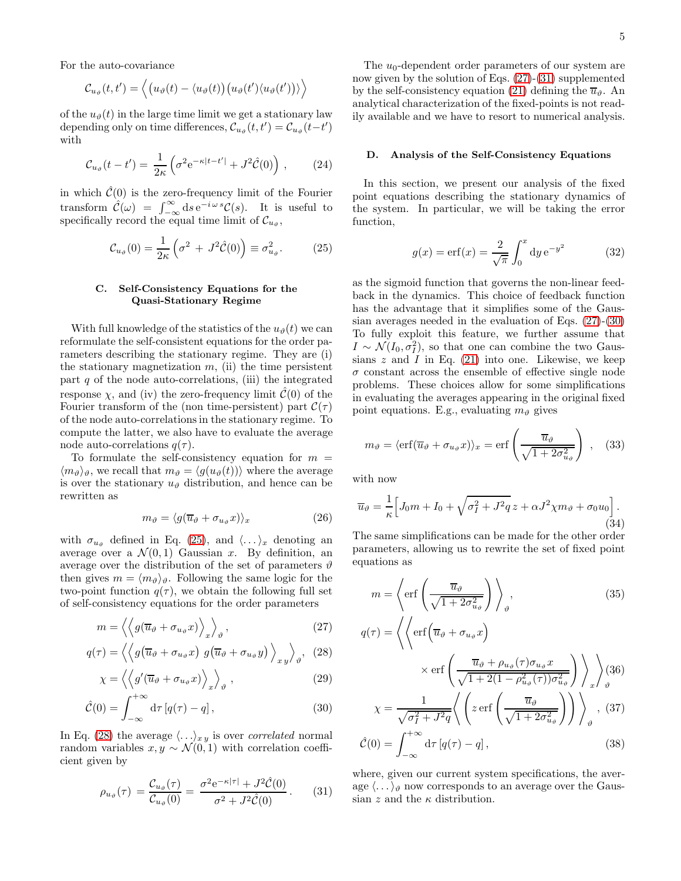For the auto-covariance

$$
\mathcal{C}_{u_{\vartheta}}(t,t') = \left\langle \left(u_{\vartheta}(t) - \langle u_{\vartheta}(t)\right) \left(u_{\vartheta}(t') \langle u_{\vartheta}(t')\right) \rangle \right\rangle
$$

of the  $u_{\vartheta}(t)$  in the large time limit we get a stationary law depending only on time differences,  $\mathcal{C}_{u_{\vartheta}}(t,t') = \mathcal{C}_{u_{\vartheta}}(t-t')$ with

$$
C_{u_{\vartheta}}(t - t') = \frac{1}{2\kappa} \left( \sigma^2 e^{-\kappa |t - t'|} + J^2 \hat{\mathcal{C}}(0) \right) , \qquad (24)
$$

in which  $\hat{\mathcal{C}}(0)$  is the zero-frequency limit of the Fourier transform  $\hat{\mathcal{C}}(\omega) = \int_{-\infty}^{\infty} ds e^{-i\omega s} \mathcal{C}(s)$ . It is useful to specifically record the equal time limit of  $\mathcal{C}_{u_{\vartheta}}$ ,

<span id="page-4-0"></span>
$$
\mathcal{C}_{u_{\vartheta}}(0) = \frac{1}{2\kappa} \left( \sigma^2 + J^2 \hat{\mathcal{C}}(0) \right) \equiv \sigma_{u_{\vartheta}}^2. \tag{25}
$$

# C. Self-Consistency Equations for the Quasi-Stationary Regime

With full knowledge of the statistics of the  $u_{\theta}(t)$  we can reformulate the self-consistent equations for the order parameters describing the stationary regime. They are (i) the stationary magnetization  $m$ , (ii) the time persistent part  $q$  of the node auto-correlations, (iii) the integrated response  $\chi$ , and (iv) the zero-frequency limit  $\mathcal{C}(0)$  of the Fourier transform of the (non time-persistent) part  $\mathcal{C}(\tau)$ of the node auto-correlations in the stationary regime. To compute the latter, we also have to evaluate the average node auto-correlations  $q(\tau)$ .

To formulate the self-consistency equation for  $m =$  $\langle m_{\vartheta} \rangle_{\vartheta}$ , we recall that  $m_{\vartheta} = \langle g(u_{\vartheta}(t)) \rangle$  where the average is over the stationary  $u_{\vartheta}$  distribution, and hence can be rewritten as

$$
m_{\vartheta} = \langle g(\overline{u}_{\vartheta} + \sigma_{u_{\vartheta}} x) \rangle_x \tag{26}
$$

with  $\sigma_{u_{\vartheta}}$  defined in Eq. [\(25\)](#page-4-0), and  $\langle \ldots \rangle_x$  denoting an average over a  $\mathcal{N}(0,1)$  Gaussian x. By definition, an average over the distribution of the set of parameters  $\vartheta$ then gives  $m = \langle m_{\vartheta} \rangle_{\vartheta}$ . Following the same logic for the two-point function  $q(\tau)$ , we obtain the following full set of self-consistency equations for the order parameters

<span id="page-4-1"></span>
$$
m = \left\langle \left\langle g(\overline{u}_{\vartheta} + \sigma_{u_{\vartheta}} x) \right\rangle_{x} \right\rangle_{\vartheta}, \tag{27}
$$

$$
q(\tau) = \left\langle \left\langle g\left(\overline{u}_{\vartheta} + \sigma_{u_{\vartheta}} x\right) g\left(\overline{u}_{\vartheta} + \sigma_{u_{\vartheta}} y\right) \right\rangle_{x y} \right\rangle_{\vartheta}, \quad (28)
$$

$$
\chi = \left\langle \left\langle g'(\overline{u}_{\vartheta} + \sigma_{u_{\vartheta}} x) \right\rangle_{x} \right\rangle_{\vartheta}, \qquad (29)
$$

$$
\hat{\mathcal{C}}(0) = \int_{-\infty}^{+\infty} d\tau \left[ q(\tau) - q \right],\tag{30}
$$

In Eq. [\(28\)](#page-4-1) the average  $\langle \ldots \rangle_{xy}$  is over *correlated* normal random variables  $x, y \sim \mathcal{N}(0, 1)$  with correlation coefficient given by

<span id="page-4-2"></span>
$$
\rho_{u_{\vartheta}}(\tau) = \frac{\mathcal{C}_{u_{\vartheta}}(\tau)}{\mathcal{C}_{u_{\vartheta}}(0)} = \frac{\sigma^2 e^{-\kappa|\tau|} + J^2 \hat{\mathcal{C}}(0)}{\sigma^2 + J^2 \hat{\mathcal{C}}(0)}.
$$
 (31)

The  $u_0$ -dependent order parameters of our system are now given by the solution of Eqs. [\(27\)](#page-4-1)-[\(31\)](#page-4-2) supplemented by the self-consistency equation [\(21\)](#page-3-0) defining the  $\overline{u}_{\vartheta}$ . An analytical characterization of the fixed-points is not readily available and we have to resort to numerical analysis.

### <span id="page-4-4"></span>D. Analysis of the Self-Consistency Equations

In this section, we present our analysis of the fixed point equations describing the stationary dynamics of the system. In particular, we will be taking the error function,

<span id="page-4-5"></span>
$$
g(x) = \text{erf}(x) = \frac{2}{\sqrt{\pi}} \int_0^x \text{d}y \, \text{e}^{-y^2} \tag{32}
$$

as the sigmoid function that governs the non-linear feedback in the dynamics. This choice of feedback function has the advantage that it simplifies some of the Gaussian averages needed in the evaluation of Eqs. [\(27\)](#page-4-1)-[\(30\)](#page-4-1) To fully exploit this feature, we further assume that  $I \sim \mathcal{N}(I_0, \sigma_I^2)$ , so that one can combine the two Gaussians  $z$  and  $I$  in Eq. [\(21\)](#page-3-0) into one. Likewise, we keep  $\sigma$  constant across the ensemble of effective single node problems. These choices allow for some simplifications in evaluating the averages appearing in the original fixed point equations. E.g., evaluating  $m_{\vartheta}$  gives

$$
m_{\vartheta} = \langle \text{erf}(\overline{u}_{\vartheta} + \sigma_{u_{\vartheta}} x) \rangle_x = \text{erf}\left(\frac{\overline{u}_{\vartheta}}{\sqrt{1 + 2\sigma_{u_{\vartheta}}^2}}\right) , \quad (33)
$$

with now

<span id="page-4-3"></span>
$$
\overline{u}_{\vartheta} = \frac{1}{\kappa} \Big[ J_0 m + I_0 + \sqrt{\sigma_I^2 + J^2 q} \, z + \alpha J^2 \chi m_{\vartheta} + \sigma_0 u_0 \Big]. \tag{34}
$$

The same simplifications can be made for the other order parameters, allowing us to rewrite the set of fixed point equations as

$$
m = \left\langle \text{erf}\left(\frac{\overline{u}_{\vartheta}}{\sqrt{1 + 2\sigma_{u_{\vartheta}}^2}}\right) \right\rangle_{\vartheta},
$$
\n
$$
q(\tau) = \left\langle \left\langle \text{erf}\left(\overline{u}_{\vartheta} + \sigma_{u_{\vartheta}}x\right) \right\rangle_{\vartheta} \right\rangle
$$
\n(35)

$$
\times \operatorname{erf}\left(\frac{\overline{u}_{\vartheta} + \rho_{u_{\vartheta}}(\tau)\sigma_{u_{\vartheta}}x}{\sqrt{1 + 2(1 - \rho_{u_{\vartheta}}^2(\tau))\sigma_{u_{\vartheta}}^2}}\right)\right)_{x}
$$
(36)  

$$
\chi = \frac{1}{\sqrt{\sigma_I^2 + J^2 q}} \left\langle \left( z \operatorname{erf}\left(\frac{\overline{u}_{\vartheta}}{\sqrt{1 + 2\sigma_{u_{\vartheta}}^2}}\right)\right)\right\rangle_{\vartheta}, (37)
$$

$$
\hat{\mathcal{C}}(0) = \int_{-\infty}^{+\infty} d\tau \left[ q(\tau) - q \right],\tag{38}
$$

where, given our current system specifications, the average  $\langle \ldots \rangle_{\vartheta}$  now corresponds to an average over the Gaussian z and the  $\kappa$  distribution.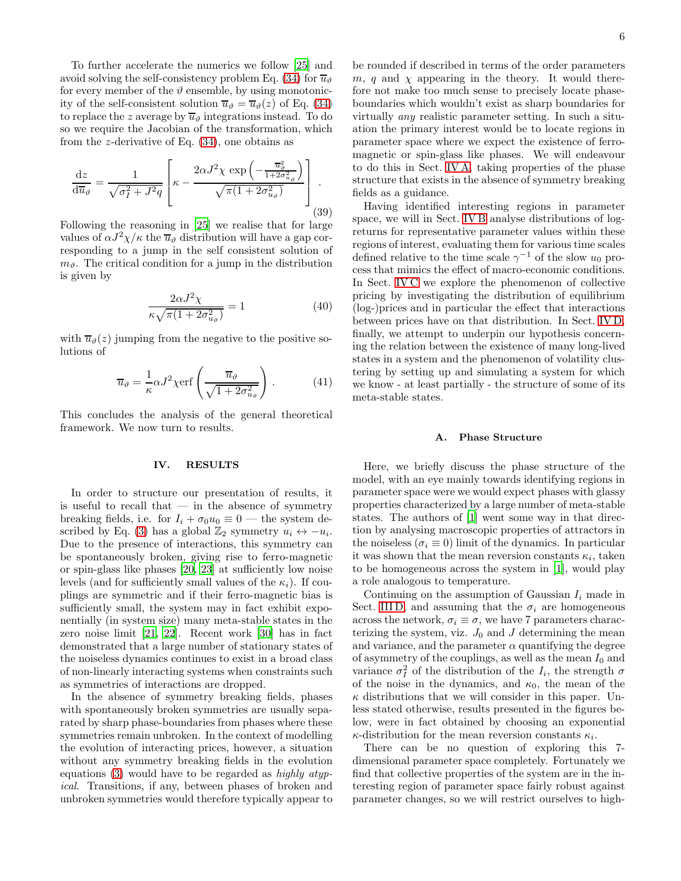To further accelerate the numerics we follow [\[25\]](#page-15-8) and avoid solving the self-consistency problem Eq. [\(34\)](#page-4-3) for  $\overline{u}_{\vartheta}$ for every member of the  $\vartheta$  ensemble, by using monotonicity of the self-consistent solution  $\overline{u}_{\vartheta} = \overline{u}_{\vartheta}(z)$  of Eq. [\(34\)](#page-4-3) to replace the z average by  $\overline{u}_{\theta}$  integrations instead. To do so we require the Jacobian of the transformation, which from the *z*-derivative of Eq.  $(34)$ , one obtains as

<span id="page-5-2"></span>
$$
\frac{\mathrm{d}z}{\mathrm{d}\overline{u}_{\vartheta}} = \frac{1}{\sqrt{\sigma_I^2 + J^2 q}} \left[ \kappa - \frac{2\alpha J^2 \chi \exp\left(-\frac{\overline{u}_{\vartheta}^2}{1 + 2\sigma_{u_{\vartheta}}^2}\right)}{\sqrt{\pi (1 + 2\sigma_{u_{\vartheta}}^2)}} \right].
$$
\n(39)

Following the reasoning in [\[25\]](#page-15-8) we realise that for large values of  $\alpha J^2 \chi / \kappa$  the  $\overline{u}_{\vartheta}$  distribution will have a gap corresponding to a jump in the self consistent solution of  $m_{\vartheta}$ . The critical condition for a jump in the distribution is given by

$$
\frac{2\alpha J^2 \chi}{\kappa \sqrt{\pi (1 + 2\sigma_{u_\theta}^2)}} = 1\tag{40}
$$

with  $\overline{u}_{\vartheta}(z)$  jumping from the negative to the positive solutions of

$$
\overline{u}_{\vartheta} = \frac{1}{\kappa} \alpha J^2 \chi \text{erf}\left(\frac{\overline{u}_{\vartheta}}{\sqrt{1 + 2\sigma_{u_{\vartheta}}^2}}\right). \tag{41}
$$

This concludes the analysis of the general theoretical framework. We now turn to results.

### <span id="page-5-0"></span>IV. RESULTS

In order to structure our presentation of results, it is useful to recall that  $-$  in the absence of symmetry breaking fields, i.e. for  $I_i + \sigma_0 u_0 \equiv 0$  — the system de-scribed by Eq. [\(3\)](#page-1-2) has a global  $\mathbb{Z}_2$  symmetry  $u_i \leftrightarrow -u_i$ . Due to the presence of interactions, this symmetry can be spontaneously broken, giving rise to ferro-magnetic or spin-glass like phases [\[20,](#page-15-9) [23\]](#page-15-10) at sufficiently low noise levels (and for sufficiently small values of the  $\kappa_i$ ). If couplings are symmetric and if their ferro-magnetic bias is sufficiently small, the system may in fact exhibit exponentially (in system size) many meta-stable states in the zero noise limit [\[21](#page-15-11), [22\]](#page-15-12). Recent work [\[30\]](#page-15-16) has in fact demonstrated that a large number of stationary states of the noiseless dynamics continues to exist in a broad class of non-linearly interacting systems when constraints such as symmetries of interactions are dropped.

In the absence of symmetry breaking fields, phases with spontaneously broken symmetries are usually separated by sharp phase-boundaries from phases where these symmetries remain unbroken. In the context of modelling the evolution of interacting prices, however, a situation without any symmetry breaking fields in the evolution equations  $(3)$  would have to be regarded as highly atypical. Transitions, if any, between phases of broken and unbroken symmetries would therefore typically appear to

be rounded if described in terms of the order parameters m, q and  $\chi$  appearing in the theory. It would therefore not make too much sense to precisely locate phaseboundaries which wouldn't exist as sharp boundaries for virtually any realistic parameter setting. In such a situation the primary interest would be to locate regions in parameter space where we expect the existence of ferromagnetic or spin-glass like phases. We will endeavour to do this in Sect. [IV A,](#page-5-1) taking properties of the phase structure that exists in the absence of symmetry breaking fields as a guidance.

Having identified interesting regions in parameter space, we will in Sect. [IV B](#page-6-0) analyse distributions of logreturns for representative parameter values within these regions of interest, evaluating them for various time scales defined relative to the time scale  $\gamma^{-1}$  of the slow  $u_0$  process that mimics the effect of macro-economic conditions. In Sect. [IV C](#page-9-0) we explore the phenomenon of collective pricing by investigating the distribution of equilibrium (log-)prices and in particular the effect that interactions between prices have on that distribution. In Sect. [IV D,](#page-10-0) finally, we attempt to underpin our hypothesis concerning the relation between the existence of many long-lived states in a system and the phenomenon of volatility clustering by setting up and simulating a system for which we know - at least partially - the structure of some of its meta-stable states.

### <span id="page-5-1"></span>A. Phase Structure

Here, we briefly discuss the phase structure of the model, with an eye mainly towards identifying regions in parameter space were we would expect phases with glassy properties characterized by a large number of meta-stable states. The authors of [\[1](#page-14-0)] went some way in that direction by analysing macroscopic properties of attractors in the noiseless ( $\sigma_i \equiv 0$ ) limit of the dynamics. In particular it was shown that the mean reversion constants  $\kappa_i$ , taken to be homogeneous across the system in [\[1](#page-14-0)], would play a role analogous to temperature.

Continuing on the assumption of Gaussian  $I_i$  made in Sect. [III D,](#page-4-4) and assuming that the  $\sigma_i$  are homogeneous across the network,  $\sigma_i \equiv \sigma$ , we have 7 parameters characterizing the system, viz.  $J_0$  and J determining the mean and variance, and the parameter  $\alpha$  quantifying the degree of asymmetry of the couplings, as well as the mean  $I_0$  and variance  $\sigma_I^2$  of the distribution of the  $I_i$ , the strength  $\sigma$ of the noise in the dynamics, and  $\kappa_0$ , the mean of the  $\kappa$  distributions that we will consider in this paper. Unless stated otherwise, results presented in the figures below, were in fact obtained by choosing an exponential  $\kappa$ -distribution for the mean reversion constants  $\kappa_i$ .

There can be no question of exploring this 7 dimensional parameter space completely. Fortunately we find that collective properties of the system are in the interesting region of parameter space fairly robust against parameter changes, so we will restrict ourselves to high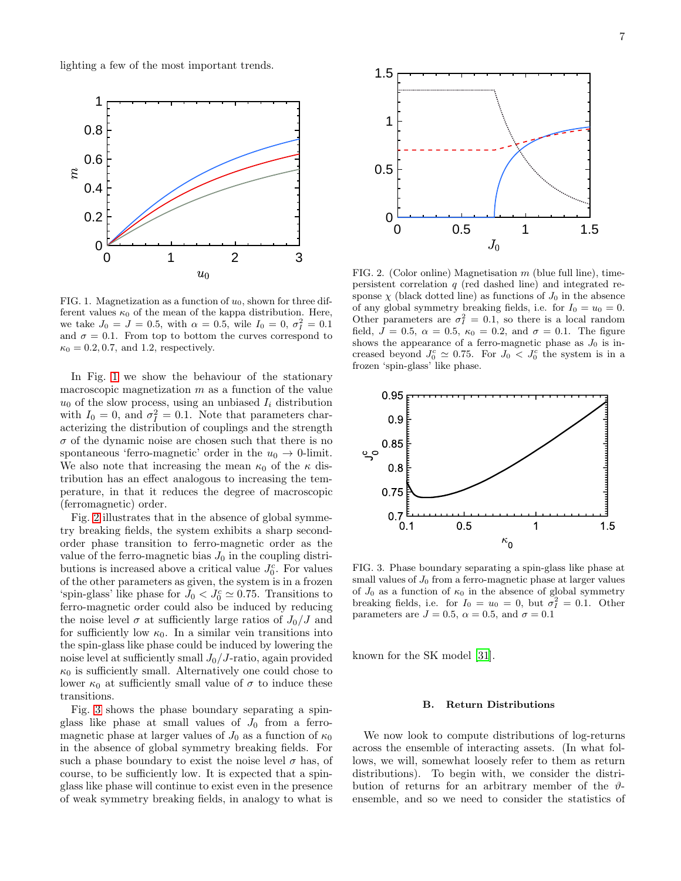lighting a few of the most important trends.



<span id="page-6-1"></span>FIG. 1. Magnetization as a function of  $u_0$ , shown for three different values  $\kappa_0$  of the mean of the kappa distribution. Here, we take  $J_0 = J = 0.5$ , with  $\alpha = 0.5$ , wile  $I_0 = 0$ ,  $\sigma_I^2 = 0.1$ and  $\sigma = 0.1$ . From top to bottom the curves correspond to  $\kappa_0 = 0.2, 0.7, \text{ and } 1.2,$  respectively.

In Fig. [1](#page-6-1) we show the behaviour of the stationary macroscopic magnetization  $m$  as a function of the value  $u_0$  of the slow process, using an unbiased  $I_i$  distribution with  $I_0 = 0$ , and  $\sigma_I^2 = 0.1$ . Note that parameters characterizing the distribution of couplings and the strength  $\sigma$  of the dynamic noise are chosen such that there is no spontaneous 'ferro-magnetic' order in the  $u_0 \rightarrow 0$ -limit. We also note that increasing the mean  $\kappa_0$  of the  $\kappa$  distribution has an effect analogous to increasing the temperature, in that it reduces the degree of macroscopic (ferromagnetic) order.

Fig. [2](#page-6-2) illustrates that in the absence of global symmetry breaking fields, the system exhibits a sharp secondorder phase transition to ferro-magnetic order as the value of the ferro-magnetic bias  $J_0$  in the coupling distributions is increased above a critical value  $J_0^c$ . For values of the other parameters as given, the system is in a frozen 'spin-glass' like phase for  $J_0 < J_0^c \simeq 0.75$ . Transitions to ferro-magnetic order could also be induced by reducing the noise level  $\sigma$  at sufficiently large ratios of  $J_0/J$  and for sufficiently low  $\kappa_0$ . In a similar vein transitions into the spin-glass like phase could be induced by lowering the noise level at sufficiently small  $J_0/J$ -ratio, again provided  $\kappa_0$  is sufficiently small. Alternatively one could chose to lower  $\kappa_0$  at sufficiently small value of  $\sigma$  to induce these transitions.

Fig. [3](#page-6-3) shows the phase boundary separating a spinglass like phase at small values of  $J_0$  from a ferromagnetic phase at larger values of  $J_0$  as a function of  $\kappa_0$ in the absence of global symmetry breaking fields. For such a phase boundary to exist the noise level  $\sigma$  has, of course, to be sufficiently low. It is expected that a spinglass like phase will continue to exist even in the presence of weak symmetry breaking fields, in analogy to what is



<span id="page-6-2"></span>FIG. 2. (Color online) Magnetisation  $m$  (blue full line), timepersistent correlation  $q$  (red dashed line) and integrated response  $\chi$  (black dotted line) as functions of  $J_0$  in the absence of any global symmetry breaking fields, i.e. for  $I_0 = u_0 = 0$ . Other parameters are  $\sigma_I^2 = 0.1$ , so there is a local random field,  $J = 0.5$ ,  $\alpha = 0.5$ ,  $\kappa_0 = 0.2$ , and  $\sigma = 0.1$ . The figure shows the appearance of a ferro-magnetic phase as  $J_0$  is increased beyond  $J_0^c \simeq 0.75$ . For  $J_0 \lt J_0^c$  the system is in a frozen 'spin-glass' like phase.



<span id="page-6-3"></span>FIG. 3. Phase boundary separating a spin-glass like phase at small values of  $J_0$  from a ferro-magnetic phase at larger values of  $J_0$  as a function of  $\kappa_0$  in the absence of global symmetry breaking fields, i.e. for  $I_0 = u_0 = 0$ , but  $\sigma_I^2 = 0.1$ . Other parameters are  $J = 0.5$ ,  $\alpha = 0.5$ , and  $\sigma = 0.1$ 

known for the SK model [\[31\]](#page-15-17).

### <span id="page-6-0"></span>B. Return Distributions

We now look to compute distributions of log-returns across the ensemble of interacting assets. (In what follows, we will, somewhat loosely refer to them as return distributions). To begin with, we consider the distribution of returns for an arbitrary member of the  $\vartheta$ ensemble, and so we need to consider the statistics of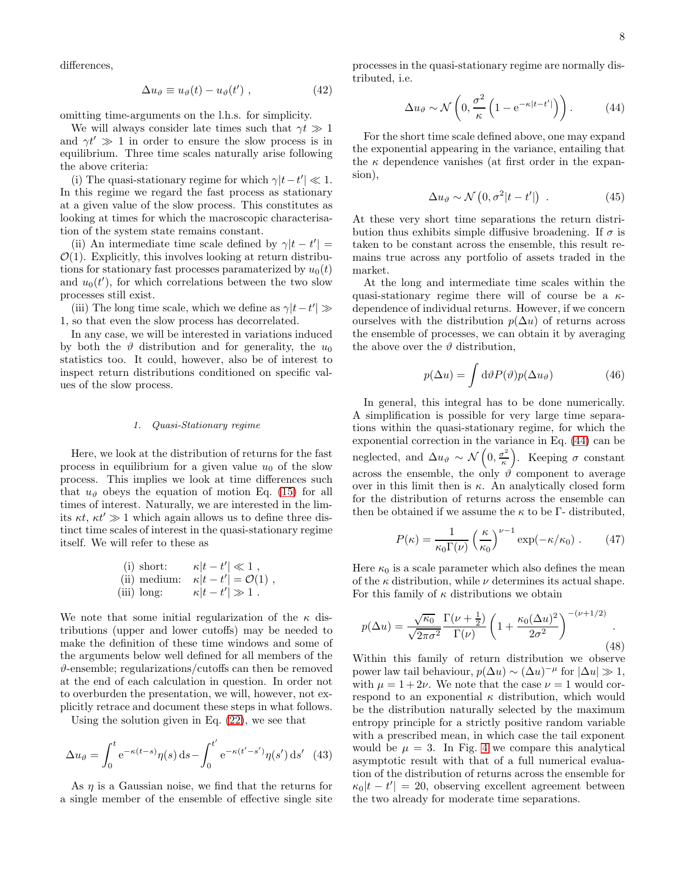differences,

<span id="page-7-2"></span>
$$
\Delta u_{\vartheta} \equiv u_{\vartheta}(t) - u_{\vartheta}(t') , \qquad (42)
$$

omitting time-arguments on the l.h.s. for simplicity.

We will always consider late times such that  $\gamma t \gg 1$ and  $\gamma t' \gg 1$  in order to ensure the slow process is in equilibrium. Three time scales naturally arise following the above criteria:

(i) The quasi-stationary regime for which  $\gamma |t-t'| \ll 1$ . In this regime we regard the fast process as stationary at a given value of the slow process. This constitutes as looking at times for which the macroscopic characterisation of the system state remains constant.

(ii) An intermediate time scale defined by  $\gamma |t - t'| =$  $\mathcal{O}(1)$ . Explicitly, this involves looking at return distributions for stationary fast processes paramaterized by  $u_0(t)$ and  $u_0(t')$ , for which correlations between the two slow processes still exist.

(iii) The long time scale, which we define as  $\gamma |t-t'| \gg$ 1, so that even the slow process has decorrelated.

In any case, we will be interested in variations induced by both the  $\vartheta$  distribution and for generality, the  $u_0$ statistics too. It could, however, also be of interest to inspect return distributions conditioned on specific values of the slow process.

### *1. Quasi-Stationary regime*

Here, we look at the distribution of returns for the fast process in equilibrium for a given value  $u_0$  of the slow process. This implies we look at time differences such that  $u_{\vartheta}$  obeys the equation of motion Eq. [\(15\)](#page-3-2) for all times of interest. Naturally, we are interested in the limits  $\kappa t$ ,  $\kappa t' \gg 1$  which again allows us to define three distinct time scales of interest in the quasi-stationary regime itself. We will refer to these as

(i) short: 
$$
\kappa|t - t'| \ll 1
$$
, \n(ii) medium:  $\kappa|t - t'| = \mathcal{O}(1)$ , \n(iii) long:  $\kappa|t - t'| \gg 1$ .

We note that some initial regularization of the  $\kappa$  distributions (upper and lower cutoffs) may be needed to make the definition of these time windows and some of the arguments below well defined for all members of the  $\vartheta$ -ensemble; regularizations/cutoffs can then be removed at the end of each calculation in question. In order not to overburden the presentation, we will, however, not explicitly retrace and document these steps in what follows.

Using the solution given in Eq. [\(22\)](#page-3-3), we see that

$$
\Delta u_{\vartheta} = \int_0^t e^{-\kappa(t-s)} \eta(s) ds - \int_0^{t'} e^{-\kappa(t'-s')} \eta(s') ds' \quad (43)
$$

As  $\eta$  is a Gaussian noise, we find that the returns for a single member of the ensemble of effective single site

processes in the quasi-stationary regime are normally distributed, i.e.

<span id="page-7-0"></span>
$$
\Delta u_{\vartheta} \sim \mathcal{N}\left(0, \frac{\sigma^2}{\kappa} \left(1 - e^{-\kappa |t - t'|}\right)\right). \tag{44}
$$

For the short time scale defined above, one may expand the exponential appearing in the variance, entailing that the  $\kappa$  dependence vanishes (at first order in the expansion),

$$
\Delta u_{\vartheta} \sim \mathcal{N}\left(0, \sigma^2 |t - t'|\right) \ . \tag{45}
$$

At these very short time separations the return distribution thus exhibits simple diffusive broadening. If  $\sigma$  is taken to be constant across the ensemble, this result remains true across any portfolio of assets traded in the market.

At the long and intermediate time scales within the quasi-stationary regime there will of course be a  $\kappa$ dependence of individual returns. However, if we concern ourselves with the distribution  $p(\Delta u)$  of returns across the ensemble of processes, we can obtain it by averaging the above over the  $\vartheta$  distribution,

$$
p(\Delta u) = \int d\vartheta P(\vartheta) p(\Delta u_{\vartheta}) \tag{46}
$$

In general, this integral has to be done numerically. A simplification is possible for very large time separations within the quasi-stationary regime, for which the exponential correction in the variance in Eq. [\(44\)](#page-7-0) can be neglected, and  $\Delta u_{\vartheta} \sim \mathcal{N}\left(0, \frac{\sigma^2}{\kappa}\right)$  $\left( \frac{\sigma^2}{\kappa} \right)$ . Keeping  $\sigma$  constant across the ensemble, the only  $\hat{\theta}$  component to average over in this limit then is  $\kappa$ . An analytically closed form for the distribution of returns across the ensemble can then be obtained if we assume the  $\kappa$  to be Γ- distributed,

<span id="page-7-3"></span>
$$
P(\kappa) = \frac{1}{\kappa_0 \Gamma(\nu)} \left(\frac{\kappa}{\kappa_0}\right)^{\nu - 1} \exp(-\kappa/\kappa_0) \ . \tag{47}
$$

Here  $\kappa_0$  is a scale parameter which also defines the mean of the  $\kappa$  distribution, while  $\nu$  determines its actual shape. For this family of  $\kappa$  distributions we obtain

<span id="page-7-1"></span>
$$
p(\Delta u) = \frac{\sqrt{\kappa_0}}{\sqrt{2\pi\sigma^2}} \frac{\Gamma(\nu + \frac{1}{2})}{\Gamma(\nu)} \left(1 + \frac{\kappa_0(\Delta u)^2}{2\sigma^2}\right)^{-(\nu + 1/2)}.\tag{48}
$$

Within this family of return distribution we observe power law tail behaviour,  $p(\Delta u) \sim (\Delta u)^{-\mu}$  for  $|\Delta u| \gg 1$ , with  $\mu = 1 + 2\nu$ . We note that the case  $\nu = 1$  would correspond to an exponential  $\kappa$  distribution, which would be the distribution naturally selected by the maximum entropy principle for a strictly positive random variable with a prescribed mean, in which case the tail exponent would be  $\mu = 3$ . In Fig. [4](#page-8-0) we compare this analytical asymptotic result with that of a full numerical evaluation of the distribution of returns across the ensemble for  $\kappa_0|t-t'| = 20$ , observing excellent agreement between the two already for moderate time separations.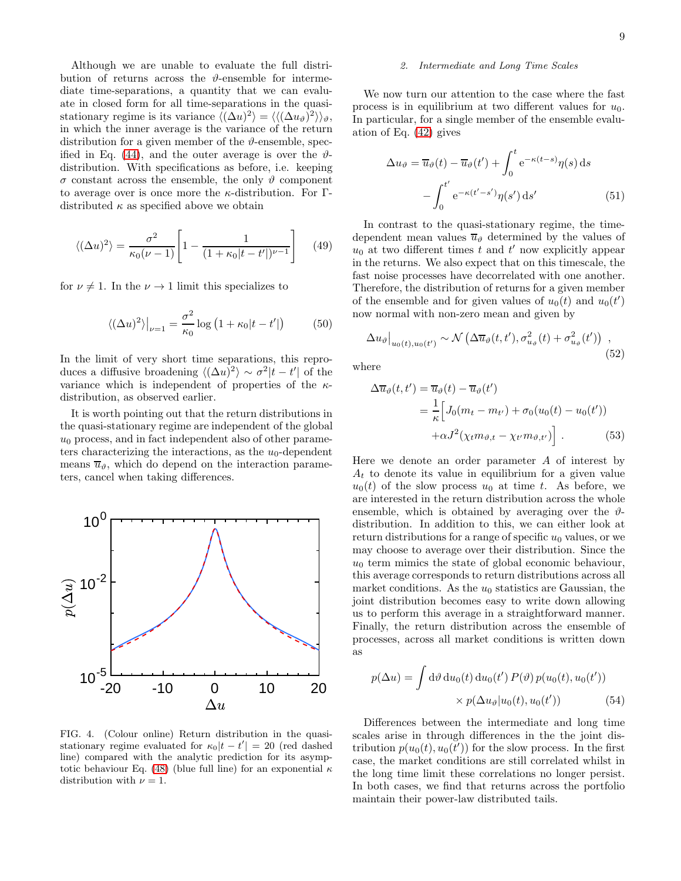Although we are unable to evaluate the full distribution of returns across the  $\vartheta$ -ensemble for intermediate time-separations, a quantity that we can evaluate in closed form for all time-separations in the quasistationary regime is its variance  $\langle (\Delta u)^2 \rangle = \langle (\Delta u_{\vartheta})^2 \rangle \rangle_{\vartheta}$ , in which the inner average is the variance of the return distribution for a given member of the  $\vartheta$ -ensemble, spec-ified in Eq. [\(44\)](#page-7-0), and the outer average is over the  $\vartheta$ distribution. With specifications as before, i.e. keeping  $\sigma$  constant across the ensemble, the only  $\vartheta$  component to average over is once more the  $\kappa$ -distribution. For Γdistributed  $\kappa$  as specified above we obtain

$$
\langle (\Delta u)^2 \rangle = \frac{\sigma^2}{\kappa_0(\nu - 1)} \left[ 1 - \frac{1}{(1 + \kappa_0 |t - t'|)^{\nu - 1}} \right] \tag{49}
$$

for  $\nu \neq 1$ . In the  $\nu \rightarrow 1$  limit this specializes to

$$
\langle (\Delta u)^2 \rangle \big|_{\nu=1} = \frac{\sigma^2}{\kappa_0} \log \left( 1 + \kappa_0 |t - t'| \right) \tag{50}
$$

In the limit of very short time separations, this reproduces a diffusive broadening  $\langle (\Delta u)^2 \rangle \sim \sigma^2 |t - t'|$  of the variance which is independent of properties of the  $\kappa$ distribution, as observed earlier.

It is worth pointing out that the return distributions in the quasi-stationary regime are independent of the global  $u_0$  process, and in fact independent also of other parameters characterizing the interactions, as the  $u_0$ -dependent means  $\overline{u}_{\vartheta}$ , which do depend on the interaction parameters, cancel when taking differences.



<span id="page-8-0"></span>FIG. 4. (Colour online) Return distribution in the quasistationary regime evaluated for  $\kappa_0|t-t'| = 20$  (red dashed line) compared with the analytic prediction for its asymp-totic behaviour Eq. [\(48\)](#page-7-1) (blue full line) for an exponential  $\kappa$ distribution with  $\nu = 1$ .

### *2. Intermediate and Long Time Scales*

We now turn our attention to the case where the fast process is in equilibrium at two different values for  $u_0$ . In particular, for a single member of the ensemble evaluation of Eq. [\(42\)](#page-7-2) gives

$$
\Delta u_{\vartheta} = \overline{u}_{\vartheta}(t) - \overline{u}_{\vartheta}(t') + \int_0^t e^{-\kappa(t-s)} \eta(s) ds
$$

$$
- \int_0^{t'} e^{-\kappa(t'-s')} \eta(s') ds' \tag{51}
$$

In contrast to the quasi-stationary regime, the timedependent mean values  $\overline{u}_{\vartheta}$  determined by the values of  $u_0$  at two different times t and t' now explicitly appear in the returns. We also expect that on this timescale, the fast noise processes have decorrelated with one another. Therefore, the distribution of returns for a given member of the ensemble and for given values of  $u_0(t)$  and  $u_0(t')$ now normal with non-zero mean and given by

$$
\Delta u_{\vartheta}|_{u_{0}(t), u_{0}(t')} \sim \mathcal{N}\left(\Delta \overline{u}_{\vartheta}(t, t'), \sigma_{u_{\vartheta}}^{2}(t) + \sigma_{u_{\vartheta}}^{2}(t')\right) , \qquad (52)
$$

where

$$
\Delta \overline{u}_{\vartheta}(t, t') = \overline{u}_{\vartheta}(t) - \overline{u}_{\vartheta}(t')
$$
  
= 
$$
\frac{1}{\kappa} \Big[ J_0(m_t - m_{t'}) + \sigma_0(u_0(t) - u_0(t'))
$$
  

$$
+ \alpha J^2(\chi_t m_{\vartheta, t} - \chi_{t'} m_{\vartheta, t'}) \Big].
$$
 (53)

Here we denote an order parameter A of interest by  $A_t$  to denote its value in equilibrium for a given value  $u_0(t)$  of the slow process  $u_0$  at time t. As before, we are interested in the return distribution across the whole ensemble, which is obtained by averaging over the  $\vartheta$ distribution. In addition to this, we can either look at return distributions for a range of specific  $u_0$  values, or we may choose to average over their distribution. Since the  $u_0$  term mimics the state of global economic behaviour, this average corresponds to return distributions across all market conditions. As the  $u_0$  statistics are Gaussian, the joint distribution becomes easy to write down allowing us to perform this average in a straightforward manner. Finally, the return distribution across the ensemble of processes, across all market conditions is written down as

$$
p(\Delta u) = \int d\vartheta \, du_0(t) \, du_0(t') \, P(\vartheta) \, p(u_0(t), u_0(t'))
$$

$$
\times \, p(\Delta u_\vartheta | u_0(t), u_0(t')) \tag{54}
$$

Differences between the intermediate and long time scales arise in through differences in the the joint distribution  $p(u_0(t), u_0(t'))$  for the slow process. In the first case, the market conditions are still correlated whilst in the long time limit these correlations no longer persist. In both cases, we find that returns across the portfolio maintain their power-law distributed tails.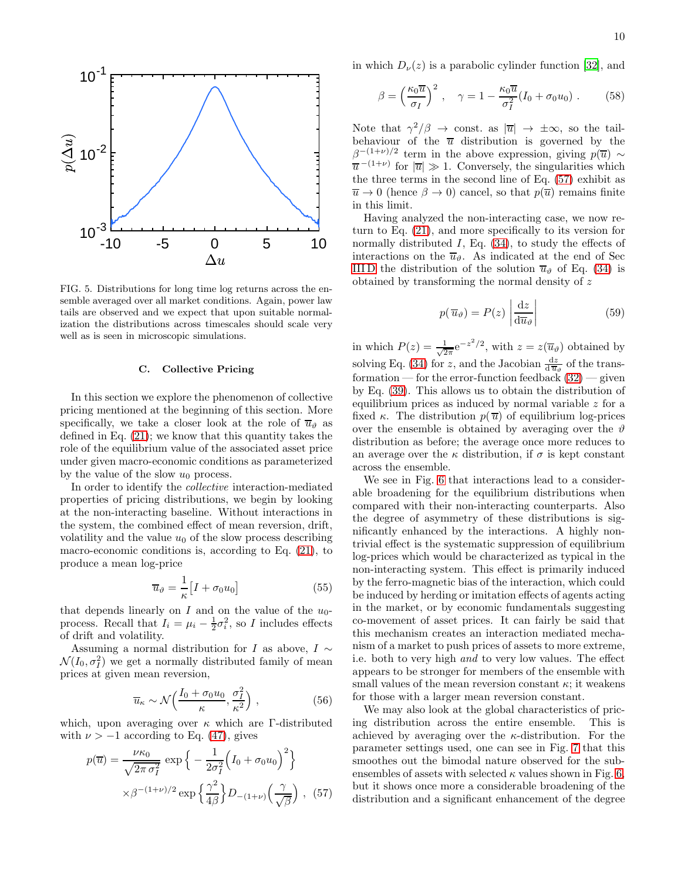



FIG. 5. Distributions for long time log returns across the ensemble averaged over all market conditions. Again, power law tails are observed and we expect that upon suitable normalization the distributions across timescales should scale very well as is seen in microscopic simulations.

### <span id="page-9-0"></span>C. Collective Pricing

In this section we explore the phenomenon of collective pricing mentioned at the beginning of this section. More specifically, we take a closer look at the role of  $\overline{u}_{\theta}$  as defined in Eq. [\(21\)](#page-3-0); we know that this quantity takes the role of the equilibrium value of the associated asset price under given macro-economic conditions as parameterized by the value of the slow  $u_0$  process.

In order to identify the collective interaction-mediated properties of pricing distributions, we begin by looking at the non-interacting baseline. Without interactions in the system, the combined effect of mean reversion, drift, volatility and the value  $u_0$  of the slow process describing macro-economic conditions is, according to Eq. [\(21\)](#page-3-0), to produce a mean log-price

$$
\overline{u}_{\vartheta} = \frac{1}{\kappa} \left[ I + \sigma_0 u_0 \right] \tag{55}
$$

that depends linearly on I and on the value of the  $u_0$ process. Recall that  $I_i = \mu_i - \frac{1}{2}\sigma_i^2$ , so I includes effects of drift and volatility.

Assuming a normal distribution for I as above,  $I \sim$  $\mathcal{N}(I_0, \sigma_I^2)$  we get a normally distributed family of mean prices at given mean reversion,

$$
\overline{u}_{\kappa} \sim \mathcal{N}\left(\frac{I_0 + \sigma_0 u_0}{\kappa}, \frac{\sigma_I^2}{\kappa^2}\right) ,\qquad (56)
$$

which, upon averaging over  $\kappa$  which are Γ-distributed with  $\nu > -1$  according to Eq. [\(47\)](#page-7-3), gives

<span id="page-9-1"></span>
$$
p(\overline{u}) = \frac{\nu \kappa_0}{\sqrt{2\pi \sigma_I^2}} \exp\left\{-\frac{1}{2\sigma_I^2} \left(I_0 + \sigma_0 u_0\right)^2\right\}
$$

$$
\times \beta^{-(1+\nu)/2} \exp\left\{\frac{\gamma^2}{4\beta}\right\} D_{-(1+\nu)} \left(\frac{\gamma}{\sqrt{\beta}}\right), (57)
$$

in which  $D_{\nu}(z)$  is a parabolic cylinder function [\[32](#page-15-18)], and

$$
\beta = \left(\frac{\kappa_0 \overline{u}}{\sigma_I}\right)^2, \quad \gamma = 1 - \frac{\kappa_0 \overline{u}}{\sigma_I^2} (I_0 + \sigma_0 u_0) \ . \tag{58}
$$

Note that  $\gamma^2/\beta \to \text{const.}$  as  $|\overline{u}| \to \pm \infty$ , so the tailbehaviour of the  $\overline{u}$  distribution is governed by the  $\beta^{-(1+\nu)/2}$  term in the above expression, giving  $p(\overline{u}) \sim$  $\overline{u}^{-(1+\nu)}$  for  $|\overline{u}| \gg 1$ . Conversely, the singularities which the three terms in the second line of Eq. [\(57\)](#page-9-1) exhibit as  $\overline{u} \to 0$  (hence  $\beta \to 0$ ) cancel, so that  $p(\overline{u})$  remains finite in this limit.

Having analyzed the non-interacting case, we now return to Eq. [\(21\)](#page-3-0), and more specifically to its version for normally distributed  $I$ , Eq.  $(34)$ , to study the effects of interactions on the  $\overline{u}_{\vartheta}$ . As indicated at the end of Sec IIID the distribution of the solution  $\overline{u}_{\vartheta}$  of Eq. [\(34\)](#page-4-3) is obtained by transforming the normal density of z

$$
p(\overline{u}_{\vartheta}) = P(z) \left| \frac{\mathrm{d}z}{\mathrm{d}\overline{u}_{\vartheta}} \right| \tag{59}
$$

in which  $P(z) = \frac{1}{\sqrt{2}}$  $\frac{1}{2\pi}e^{-z^2/2}$ , with  $z=z(\overline{u}_{\vartheta})$  obtained by solving Eq. [\(34\)](#page-4-3) for z, and the Jacobian  $\frac{dz}{d\overline{u}_{\theta}}$  of the transformation — for the error-function feedback  $(32)$  — given by Eq. [\(39\)](#page-5-2). This allows us to obtain the distribution of equilibrium prices as induced by normal variable z for a fixed κ. The distribution  $p(\bar{u})$  of equilibrium log-prices over the ensemble is obtained by averaging over the  $\vartheta$ distribution as before; the average once more reduces to an average over the  $\kappa$  distribution, if  $\sigma$  is kept constant across the ensemble.

We see in Fig. [6](#page-10-1) that interactions lead to a considerable broadening for the equilibrium distributions when compared with their non-interacting counterparts. Also the degree of asymmetry of these distributions is significantly enhanced by the interactions. A highly nontrivial effect is the systematic suppression of equilibrium log-prices which would be characterized as typical in the non-interacting system. This effect is primarily induced by the ferro-magnetic bias of the interaction, which could be induced by herding or imitation effects of agents acting in the market, or by economic fundamentals suggesting co-movement of asset prices. It can fairly be said that this mechanism creates an interaction mediated mechanism of a market to push prices of assets to more extreme, i.e. both to very high and to very low values. The effect appears to be stronger for members of the ensemble with small values of the mean reversion constant  $\kappa$ ; it weakens for those with a larger mean reversion constant.

We may also look at the global characteristics of pricing distribution across the entire ensemble. This is achieved by averaging over the  $\kappa$ -distribution. For the parameter settings used, one can see in Fig. [7](#page-10-2) that this smoothes out the bimodal nature observed for the subensembles of assets with selected  $\kappa$  values shown in Fig. [6,](#page-10-1) but it shows once more a considerable broadening of the distribution and a significant enhancement of the degree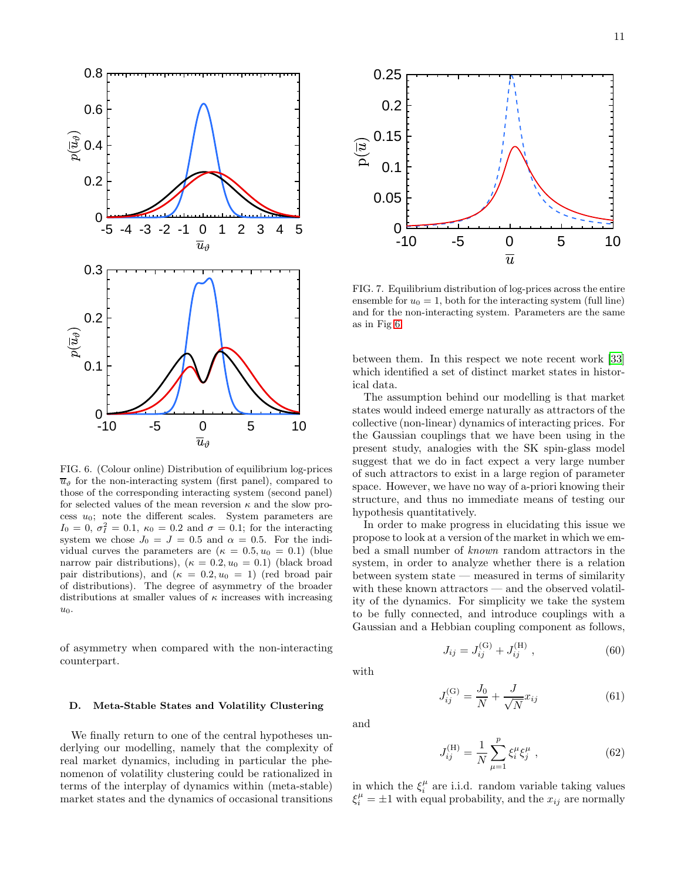

<span id="page-10-1"></span> $\overline{u}_{\vartheta}$  for the non-interacting system (first panel), compared to those of the corresponding interacting system (second panel) for selected values of the mean reversion  $\kappa$  and the slow process  $u_0$ ; note the different scales. System parameters are  $I_0 = 0, \sigma_I^2 = 0.1, \kappa_0 = 0.2$  and  $\sigma = 0.1$ ; for the interacting system we chose  $J_0 = J = 0.5$  and  $\alpha = 0.5$ . For the individual curves the parameters are  $(\kappa = 0.5, u_0 = 0.1)$  (blue narrow pair distributions),  $(\kappa = 0.2, u_0 = 0.1)$  (black broad pair distributions), and  $(\kappa = 0.2, u_0 = 1)$  (red broad pair of distributions). The degree of asymmetry of the broader distributions at smaller values of  $\kappa$  increases with increasing  $u_0$ .

of asymmetry when compared with the non-interacting counterpart.

### <span id="page-10-0"></span>D. Meta-Stable States and Volatility Clustering

We finally return to one of the central hypotheses underlying our modelling, namely that the complexity of real market dynamics, including in particular the phenomenon of volatility clustering could be rationalized in terms of the interplay of dynamics within (meta-stable) market states and the dynamics of occasional transitions



<span id="page-10-2"></span>FIG. 7. Equilibrium distribution of log-prices across the entire ensemble for  $u_0 = 1$ , both for the interacting system (full line) and for the non-interacting system. Parameters are the same as in Fig [6.](#page-10-1)

between them. In this respect we note recent work [\[33](#page-15-19)] which identified a set of distinct market states in historical data.

The assumption behind our modelling is that market states would indeed emerge naturally as attractors of the collective (non-linear) dynamics of interacting prices. For the Gaussian couplings that we have been using in the present study, analogies with the SK spin-glass model suggest that we do in fact expect a very large number of such attractors to exist in a large region of parameter space. However, we have no way of a-priori knowing their structure, and thus no immediate means of testing our hypothesis quantitatively.

In order to make progress in elucidating this issue we propose to look at a version of the market in which we embed a small number of known random attractors in the system, in order to analyze whether there is a relation between system state — measured in terms of similarity with these known attractors — and the observed volatility of the dynamics. For simplicity we take the system to be fully connected, and introduce couplings with a Gaussian and a Hebbian coupling component as follows,

 $\mathcal{F}(G)$ 

$$
\quad\text{with}\quad
$$

and

$$
J_{ij} = J_{ij}^{(G)} + J_{ij}^{(H)} , \qquad (60)
$$

 $\mathcal{F}(H)$ 

$$
J_{ij}^{(\text{G})} = \frac{J_0}{N} + \frac{J}{\sqrt{N}} x_{ij}
$$
(61)

 $J_{ij}^{(\mathrm{H})}=\frac{1}{\Lambda}$ N  $\sum_{i=1}^{p}$  $\mu=1$  $\xi_i^{\mu} \xi_j^{\mu}$  $(62)$ 

in which the  $\xi_i^{\mu}$  are i.i.d. random variable taking values  $\xi_i^{\mu} = \pm 1$  with equal probability, and the  $x_{ij}$  are normally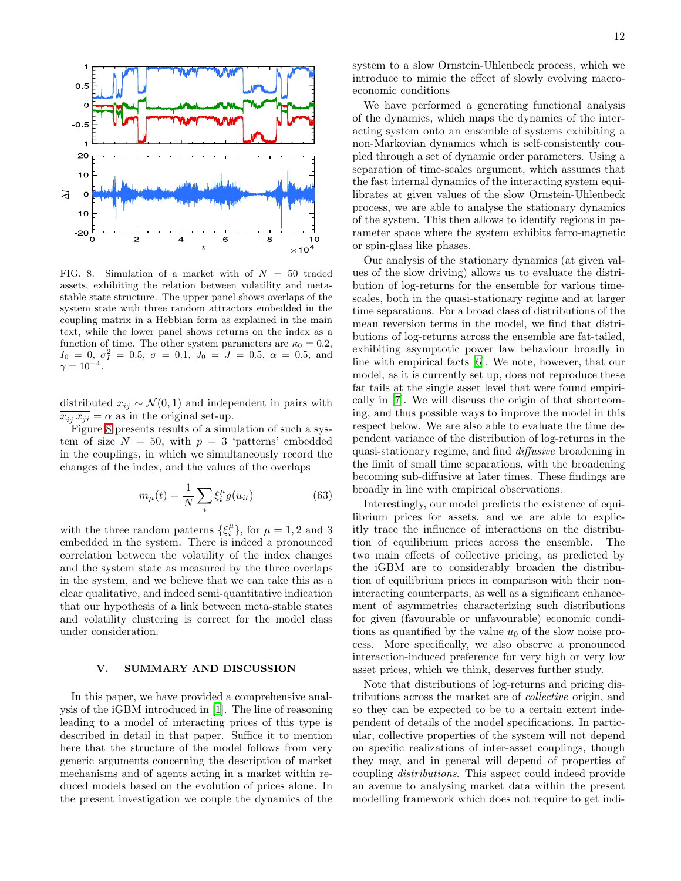

<span id="page-11-1"></span>FIG. 8. Simulation of a market with of  $N = 50$  traded assets, exhibiting the relation between volatility and metastable state structure. The upper panel shows overlaps of the system state with three random attractors embedded in the coupling matrix in a Hebbian form as explained in the main text, while the lower panel shows returns on the index as a function of time. The other system parameters are  $\kappa_0 = 0.2$ ,  $I_0 = 0, \sigma_I^2 = 0.5, \sigma = 0.1, J_0 = J = 0.5, \alpha = 0.5, \text{ and}$  $\gamma = 10^{-4}$ .

distributed  $x_{ij} \sim \mathcal{N}(0, 1)$  and independent in pairs with  $x_{ij} x_{ji} = \alpha$  as in the original set-up.

Figure [8](#page-11-1) presents results of a simulation of such a system of size  $N = 50$ , with  $p = 3$  'patterns' embedded in the couplings, in which we simultaneously record the changes of the index, and the values of the overlaps

$$
m_{\mu}(t) = \frac{1}{N} \sum_{i} \xi_i^{\mu} g(u_{it})
$$
\n(63)

with the three random patterns  $\{\xi_i^{\mu}\}\,$  for  $\mu = 1, 2$  and 3 embedded in the system. There is indeed a pronounced correlation between the volatility of the index changes and the system state as measured by the three overlaps in the system, and we believe that we can take this as a clear qualitative, and indeed semi-quantitative indication that our hypothesis of a link between meta-stable states and volatility clustering is correct for the model class under consideration.

### <span id="page-11-0"></span>V. SUMMARY AND DISCUSSION

In this paper, we have provided a comprehensive analysis of the iGBM introduced in [\[1\]](#page-14-0). The line of reasoning leading to a model of interacting prices of this type is described in detail in that paper. Suffice it to mention here that the structure of the model follows from very generic arguments concerning the description of market mechanisms and of agents acting in a market within reduced models based on the evolution of prices alone. In the present investigation we couple the dynamics of the system to a slow Ornstein-Uhlenbeck process, which we introduce to mimic the effect of slowly evolving macroeconomic conditions

We have performed a generating functional analysis of the dynamics, which maps the dynamics of the interacting system onto an ensemble of systems exhibiting a non-Markovian dynamics which is self-consistently coupled through a set of dynamic order parameters. Using a separation of time-scales argument, which assumes that the fast internal dynamics of the interacting system equilibrates at given values of the slow Ornstein-Uhlenbeck process, we are able to analyse the stationary dynamics of the system. This then allows to identify regions in parameter space where the system exhibits ferro-magnetic or spin-glass like phases.

Our analysis of the stationary dynamics (at given values of the slow driving) allows us to evaluate the distribution of log-returns for the ensemble for various timescales, both in the quasi-stationary regime and at larger time separations. For a broad class of distributions of the mean reversion terms in the model, we find that distributions of log-returns across the ensemble are fat-tailed, exhibiting asymptotic power law behaviour broadly in line with empirical facts [\[6](#page-14-7)]. We note, however, that our model, as it is currently set up, does not reproduce these fat tails at the single asset level that were found empirically in [\[7](#page-14-8)]. We will discuss the origin of that shortcoming, and thus possible ways to improve the model in this respect below. We are also able to evaluate the time dependent variance of the distribution of log-returns in the quasi-stationary regime, and find diffusive broadening in the limit of small time separations, with the broadening becoming sub-diffusive at later times. These findings are broadly in line with empirical observations.

Interestingly, our model predicts the existence of equilibrium prices for assets, and we are able to explicitly trace the influence of interactions on the distribution of equilibrium prices across the ensemble. The two main effects of collective pricing, as predicted by the iGBM are to considerably broaden the distribution of equilibrium prices in comparison with their noninteracting counterparts, as well as a significant enhancement of asymmetries characterizing such distributions for given (favourable or unfavourable) economic conditions as quantified by the value  $u_0$  of the slow noise process. More specifically, we also observe a pronounced interaction-induced preference for very high or very low asset prices, which we think, deserves further study.

Note that distributions of log-returns and pricing distributions across the market are of collective origin, and so they can be expected to be to a certain extent independent of details of the model specifications. In particular, collective properties of the system will not depend on specific realizations of inter-asset couplings, though they may, and in general will depend of properties of coupling distributions. This aspect could indeed provide an avenue to analysing market data within the present modelling framework which does not require to get indi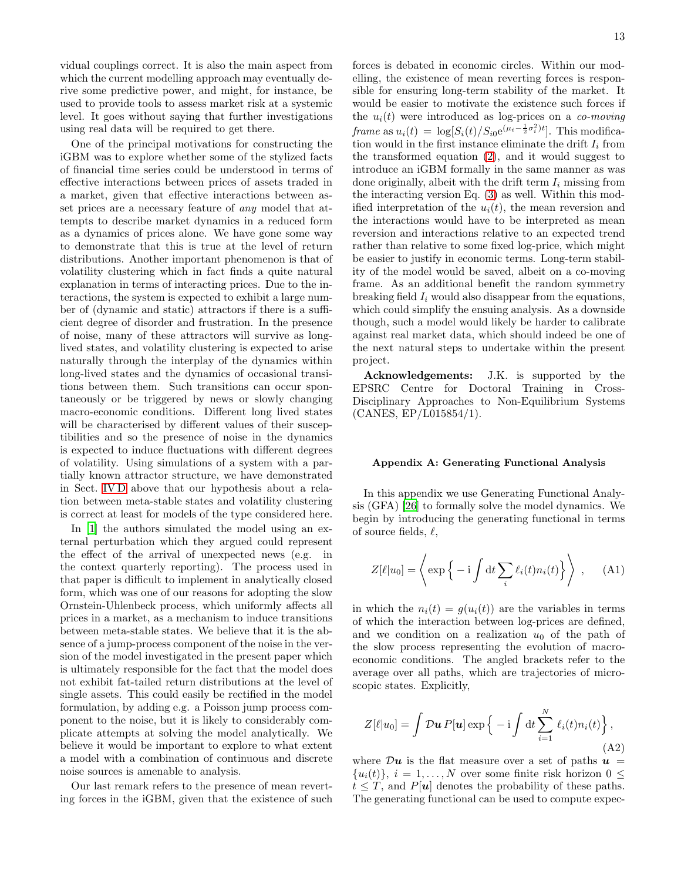vidual couplings correct. It is also the main aspect from which the current modelling approach may eventually derive some predictive power, and might, for instance, be used to provide tools to assess market risk at a systemic level. It goes without saying that further investigations using real data will be required to get there.

One of the principal motivations for constructing the iGBM was to explore whether some of the stylized facts of financial time series could be understood in terms of effective interactions between prices of assets traded in a market, given that effective interactions between asset prices are a necessary feature of any model that attempts to describe market dynamics in a reduced form as a dynamics of prices alone. We have gone some way to demonstrate that this is true at the level of return distributions. Another important phenomenon is that of volatility clustering which in fact finds a quite natural explanation in terms of interacting prices. Due to the interactions, the system is expected to exhibit a large number of (dynamic and static) attractors if there is a sufficient degree of disorder and frustration. In the presence of noise, many of these attractors will survive as longlived states, and volatility clustering is expected to arise naturally through the interplay of the dynamics within long-lived states and the dynamics of occasional transitions between them. Such transitions can occur spontaneously or be triggered by news or slowly changing macro-economic conditions. Different long lived states will be characterised by different values of their susceptibilities and so the presence of noise in the dynamics is expected to induce fluctuations with different degrees of volatility. Using simulations of a system with a partially known attractor structure, we have demonstrated in Sect. [IV D](#page-10-0) above that our hypothesis about a relation between meta-stable states and volatility clustering is correct at least for models of the type considered here.

In [\[1](#page-14-0)] the authors simulated the model using an external perturbation which they argued could represent the effect of the arrival of unexpected news (e.g. in the context quarterly reporting). The process used in that paper is difficult to implement in analytically closed form, which was one of our reasons for adopting the slow Ornstein-Uhlenbeck process, which uniformly affects all prices in a market, as a mechanism to induce transitions between meta-stable states. We believe that it is the absence of a jump-process component of the noise in the version of the model investigated in the present paper which is ultimately responsible for the fact that the model does not exhibit fat-tailed return distributions at the level of single assets. This could easily be rectified in the model formulation, by adding e.g. a Poisson jump process component to the noise, but it is likely to considerably complicate attempts at solving the model analytically. We believe it would be important to explore to what extent a model with a combination of continuous and discrete noise sources is amenable to analysis.

Our last remark refers to the presence of mean reverting forces in the iGBM, given that the existence of such forces is debated in economic circles. Within our modelling, the existence of mean reverting forces is responsible for ensuring long-term stability of the market. It would be easier to motivate the existence such forces if the  $u_i(t)$  were introduced as log-prices on a *co-moving* frame as  $u_i(t) = \log[S_i(t)/S_{i0}e^{(\mu_i - \frac{1}{2}\sigma_i^2)t}]$ . This modification would in the first instance eliminate the drift  $I_i$  from the transformed equation [\(2\)](#page-1-1), and it would suggest to introduce an iGBM formally in the same manner as was done originally, albeit with the drift term  $I_i$  missing from the interacting version Eq. [\(3\)](#page-1-2) as well. Within this modified interpretation of the  $u_i(t)$ , the mean reversion and the interactions would have to be interpreted as mean reversion and interactions relative to an expected trend rather than relative to some fixed log-price, which might be easier to justify in economic terms. Long-term stability of the model would be saved, albeit on a co-moving frame. As an additional benefit the random symmetry breaking field  $I_i$  would also disappear from the equations, which could simplify the ensuing analysis. As a downside though, such a model would likely be harder to calibrate against real market data, which should indeed be one of the next natural steps to undertake within the present project.

Acknowledgements: J.K. is supported by the EPSRC Centre for Doctoral Training in Cross-Disciplinary Approaches to Non-Equilibrium Systems (CANES, EP/L015854/1).

### <span id="page-12-0"></span>Appendix A: Generating Functional Analysis

In this appendix we use Generating Functional Analysis (GFA) [\[26\]](#page-15-13) to formally solve the model dynamics. We begin by introducing the generating functional in terms of source fields,  $\ell$ ,

$$
Z[\ell|u_0] = \left\langle \exp\left\{-i \int dt \sum_i \ell_i(t) n_i(t)\right\} \right\rangle , \quad (A1)
$$

in which the  $n_i(t) = g(u_i(t))$  are the variables in terms of which the interaction between log-prices are defined, and we condition on a realization  $u_0$  of the path of the slow process representing the evolution of macroeconomic conditions. The angled brackets refer to the average over all paths, which are trajectories of microscopic states. Explicitly,

$$
Z[\ell|u_0] = \int \mathcal{D}u P[u] \exp\{-i \int dt \sum_{i=1}^{N} \ell_i(t) n_i(t)\},\
$$
\n(A2)

where  $\mathcal{D}u$  is the flat measure over a set of paths  $u =$  $\{u_i(t)\}, i = 1, \ldots, N$  over some finite risk horizon  $0 \leq$  $t \leq T$ , and P[u] denotes the probability of these paths. The generating functional can be used to compute expec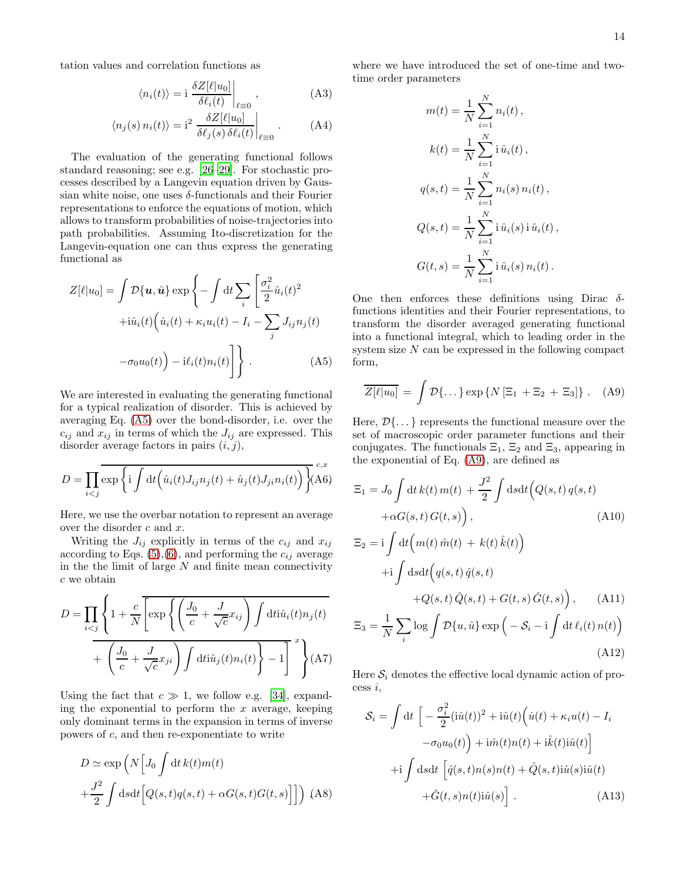tation values and correlation functions as

$$
\langle n_i(t) \rangle = \mathbf{i} \left. \frac{\delta Z[\ell|u_0]}{\delta \ell_i(t)} \right|_{\ell=0}, \tag{A3}
$$

$$
\langle n_j(s) n_i(t) \rangle = i^2 \left. \frac{\delta Z[\ell|u_0]}{\delta \ell_j(s) \delta \ell_i(t)} \right|_{\ell=0} . \tag{A4}
$$

The evaluation of the generating functional follows standard reasoning; see e.g. [\[26](#page-15-13)[–29\]](#page-15-14). For stochastic processes described by a Langevin equation driven by Gaussian white noise, one uses  $\delta$ -functionals and their Fourier representations to enforce the equations of motion, which allows to transform probabilities of noise-trajectories into path probabilities. Assuming Ito-discretization for the Langevin-equation one can thus express the generating functional as

<span id="page-13-0"></span>
$$
Z[\ell|u_0] = \int \mathcal{D}\{\boldsymbol{u}, \hat{\boldsymbol{u}}\} \exp\left\{-\int \mathrm{d}t \sum_i \left[\frac{\sigma_i^2}{2} \hat{u}_i(t)^2 +i\hat{u}_i(t)\left(\dot{u}_i(t) + \kappa_i u_i(t) - I_i - \sum_j J_{ij} n_j(t)\right)\right] - \sigma_0 u_0(t)\right\} - i\ell_i(t) n_i(t)\right\}.
$$
\n(A5)

We are interested in evaluating the generating functional for a typical realization of disorder. This is achieved by averaging Eq. [\(A5\)](#page-13-0) over the bond-disorder, i.e. over the  $c_{ij}$  and  $x_{ij}$  in terms of which the  $J_{ij}$  are expressed. This disorder average factors in pairs  $(i, j)$ ,

$$
D = \prod_{i < j} \overline{\exp\left\{i \int \mathrm{d}t \left(\hat{u}_i(t) J_{ij} n_j(t) + \hat{u}_j(t) J_{ji} n_i(t)\right)\right\}}_{\text{(A6)}}
$$

Here, we use the overbar notation to represent an average over the disorder c and x.

Writing the  $J_{ij}$  explicitly in terms of the  $c_{ij}$  and  $x_{ij}$ according to Eqs.  $(5),(6)$  $(5),(6)$ , and performing the  $c_{ij}$  average in the the limit of large  $N$  and finite mean connectivity c we obtain

$$
D = \prod_{i < j} \left\{ 1 + \frac{c}{N} \left[ \exp\left\{ \left( \frac{J_0}{c} + \frac{J}{\sqrt{c}} x_{ij} \right) \int \mathrm{d}t \mathrm{i} \hat{u}_i(t) n_j(t) \right. \right. \right. \\ \left. + \left. \left( \frac{J_0}{c} + \frac{J}{\sqrt{c}} x_{ji} \right) \int \mathrm{d}t \mathrm{i} \hat{u}_j(t) n_i(t) \right\} - 1 \right]^x \right\} (A7)
$$

Using the fact that  $c \gg 1$ , we follow e.g. [\[34\]](#page-15-20), expanding the exponential to perform the  $x$  average, keeping only dominant terms in the expansion in terms of inverse powers of c, and then re-exponentiate to write

$$
D \simeq \exp\left(N\left[J_0 \int dt \, k(t)m(t)\right) + \frac{J^2}{2} \int ds dt \Big[Q(s,t)q(s,t) + \alpha G(s,t)G(t,s)\Big]\Big]\right) \tag{A8}
$$

where we have introduced the set of one-time and twotime order parameters

$$
m(t) = \frac{1}{N} \sum_{i=1}^{N} n_i(t),
$$
  
\n
$$
k(t) = \frac{1}{N} \sum_{i=1}^{N} i \hat{u}_i(t),
$$
  
\n
$$
q(s,t) = \frac{1}{N} \sum_{i=1}^{N} n_i(s) n_i(t),
$$
  
\n
$$
Q(s,t) = \frac{1}{N} \sum_{i=1}^{N} i \hat{u}_i(s) i \hat{u}_i(t),
$$
  
\n
$$
G(t,s) = \frac{1}{N} \sum_{i=1}^{N} i \hat{u}_i(s) n_i(t).
$$

One then enforces these definitions using Dirac  $\delta$ functions identities and their Fourier representations, to transform the disorder averaged generating functional into a functional integral, which to leading order in the system size  $N$  can be expressed in the following compact form,

<span id="page-13-1"></span>
$$
\overline{Z[\ell|u_0]} = \int \mathcal{D}\{\dots\} \exp \{N \left[\Xi_1 + \Xi_2 + \Xi_3\right]\} \ . \quad (A9)
$$

Here,  $\mathcal{D}\{\ldots\}$  represents the functional measure over the set of macroscopic order parameter functions and their conjugates. The functionals  $\Xi_1$ ,  $\Xi_2$  and  $\Xi_3$ , appearing in the exponential of Eq. [\(A9\)](#page-13-1), are defined as

$$
\Xi_1 = J_0 \int dt \, k(t) \, m(t) + \frac{J^2}{2} \int ds dt \Big( Q(s, t) \, q(s, t) + \alpha G(s, t) \, G(t, s) \Big), \tag{A10}
$$

$$
\Xi_2 = i \int dt \Big( m(t) \hat{m}(t) + k(t) \hat{k}(t) \Big)
$$
  
+
$$
+ i \int ds dt \Big( q(s, t) \hat{q}(s, t) + Q(s, t) \hat{Q}(s, t) + G(t, s) \hat{G}(t, s) \Big), \qquad (A11)
$$

$$
\Xi_3 = \frac{1}{N} \sum_{i} \log \int \mathcal{D}\{u, \hat{u}\} \exp\left(-\mathcal{S}_i - i \int dt \,\ell_i(t) \, n(t)\right)
$$
\n(A12)

Here  $S_i$  denotes the effective local dynamic action of pro- $\cos i$ .

$$
S_i = \int dt \left[ -\frac{\sigma_i^2}{2} (i\hat{u}(t))^2 + i\hat{u}(t) (i(t) + \kappa_i u(t) - I_i -\sigma_0 u_0(t)) + i\hat{m}(t) n(t) + i\hat{k}(t) i\hat{u}(t) \right]
$$

$$
+i \int ds dt \left[ \hat{q}(s, t) n(s) n(t) + \hat{Q}(s, t) i\hat{u}(s) i\hat{u}(t) + \hat{G}(t, s) n(t) i\hat{u}(s) \right].
$$
(A13)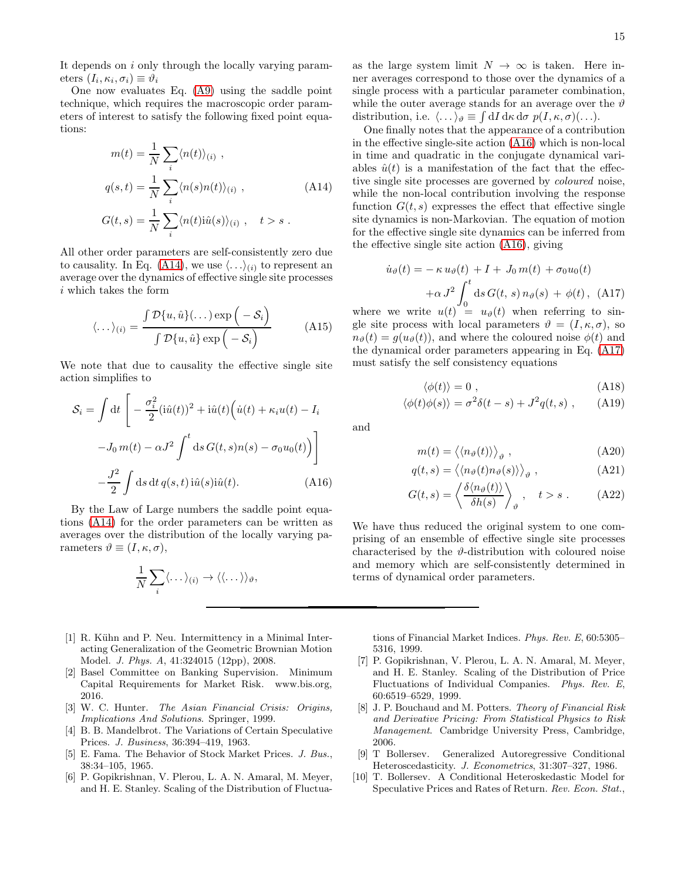It depends on i only through the locally varying parameters  $(I_i, \kappa_i, \sigma_i) \equiv \vartheta_i$ 

One now evaluates Eq. [\(A9\)](#page-13-1) using the saddle point technique, which requires the macroscopic order parameters of interest to satisfy the following fixed point equations:

<span id="page-14-9"></span>
$$
m(t) = \frac{1}{N} \sum_{i} \langle n(t) \rangle_{(i)},
$$
  
\n
$$
q(s,t) = \frac{1}{N} \sum_{i} \langle n(s)n(t) \rangle_{(i)},
$$
  
\n
$$
G(t,s) = \frac{1}{N} \sum_{i} \langle n(t) \hat{u}(s) \rangle_{(i)}, \quad t > s.
$$
\n(A14)

All other order parameters are self-consistently zero due to causality. In Eq. [\(A14\)](#page-14-9), we use  $\langle \ldots \rangle_{(i)}$  to represent an average over the dynamics of effective single site processes i which takes the form

$$
\langle \dots \rangle_{(i)} = \frac{\int \mathcal{D}\{u, \hat{u}\}(\dots) \exp\left(-\mathcal{S}_i\right)}{\int \mathcal{D}\{u, \hat{u}\} \exp\left(-\mathcal{S}_i\right)}
$$
(A15)

We note that due to causality the effective single site action simplifies to

<span id="page-14-10"></span>
$$
S_i = \int dt \left[ -\frac{\sigma_i^2}{2} (i\hat{u}(t))^2 + i\hat{u}(t) (i(t) + \kappa_i u(t) - I_i -J_0 m(t) - \alpha J^2 \int^t ds G(t, s) n(s) - \sigma_0 u_0(t) \right] -\frac{J^2}{2} \int ds dt q(s, t) i\hat{u}(s) i\hat{u}(t).
$$
 (A16)

By the Law of Large numbers the saddle point equations [\(A14\)](#page-14-9) for the order parameters can be written as averages over the distribution of the locally varying parameters  $\vartheta \equiv (I, \kappa, \sigma),$ 

$$
\frac{1}{N}\sum_{i}\langle \dots \rangle_{(i)} \to \langle \langle \dots \rangle \rangle_{\vartheta},
$$

- <span id="page-14-0"></span>[1] R. Kühn and P. Neu. Intermittency in a Minimal Interacting Generalization of the Geometric Brownian Motion Model. *J. Phys. A*, 41:324015 (12pp), 2008.
- <span id="page-14-1"></span>[2] Basel Committee on Banking Supervision. Minimum Capital Requirements for Market Risk. www.bis.org, 2016.
- <span id="page-14-2"></span>[3] W. C. Hunter. *The Asian Financial Crisis: Origins, Implications And Solutions*. Springer, 1999.
- <span id="page-14-3"></span>[4] B. B. Mandelbrot. The Variations of Certain Speculative Prices. *J. Business*, 36:394–419, 1963.
- [5] E. Fama. The Behavior of Stock Market Prices. *J. Bus.*, 38:34–105, 1965.
- <span id="page-14-7"></span>[6] P. Gopikrishnan, V. Plerou, L. A. N. Amaral, M. Meyer, and H. E. Stanley. Scaling of the Distribution of Fluctua-

as the large system limit  $N \to \infty$  is taken. Here inner averages correspond to those over the dynamics of a single process with a particular parameter combination, while the outer average stands for an average over the  $\vartheta$ distribution, i.e.  $\langle \dots \rangle_{\vartheta} \equiv \int dI \, d\kappa \, d\sigma \, p(I, \kappa, \sigma)(\dots).$ 

One finally notes that the appearance of a contribution in the effective single-site action [\(A16\)](#page-14-10) which is non-local in time and quadratic in the conjugate dynamical variables  $\hat{u}(t)$  is a manifestation of the fact that the effective single site processes are governed by coloured noise, while the non-local contribution involving the response function  $G(t, s)$  expresses the effect that effective single site dynamics is non-Markovian. The equation of motion for the effective single site dynamics can be inferred from the effective single site action [\(A16\)](#page-14-10), giving

<span id="page-14-11"></span>
$$
\dot{u}_{\vartheta}(t) = -\kappa u_{\vartheta}(t) + I + J_0 m(t) + \sigma_0 u_0(t)
$$

$$
+ \alpha J^2 \int_0^t ds G(t, s) n_{\vartheta}(s) + \phi(t), \text{ (A17)}
$$

where we write  $u(t) = u_{\vartheta}(t)$  when referring to single site process with local parameters  $\vartheta = (I, \kappa, \sigma)$ , so  $n_{\theta}(t) = g(u_{\theta}(t))$ , and where the coloured noise  $\phi(t)$  and the dynamical order parameters appearing in Eq. [\(A17\)](#page-14-11) must satisfy the self consistency equations

$$
\langle \phi(t) \rangle = 0 \tag{A18}
$$

$$
\langle \phi(t)\phi(s)\rangle = \sigma^2 \delta(t-s) + J^2 q(t,s) , \quad (A19)
$$

and

$$
m(t) = \langle \langle n_{\vartheta}(t) \rangle \rangle_{\vartheta} , \qquad (A20)
$$

$$
q(t,s) = \langle \langle n_{\vartheta}(t)n_{\vartheta}(s) \rangle \rangle_{\vartheta} , \qquad (A21)
$$

$$
G(t,s) = \left\langle \frac{\delta \langle n_{\vartheta}(t) \rangle}{\delta h(s)} \right\rangle_{\vartheta}, \quad t > s . \quad (A22)
$$

We have thus reduced the original system to one comprising of an ensemble of effective single site processes characterised by the  $\vartheta$ -distribution with coloured noise and memory which are self-consistently determined in terms of dynamical order parameters.

tions of Financial Market Indices. *Phys. Rev. E*, 60:5305– 5316, 1999.

- <span id="page-14-8"></span>[7] P. Gopikrishnan, V. Plerou, L. A. N. Amaral, M. Meyer, and H. E. Stanley. Scaling of the Distribution of Price Fluctuations of Individual Companies. *Phys. Rev. E*, 60:6519–6529, 1999.
- <span id="page-14-4"></span>[8] J. P. Bouchaud and M. Potters. *Theory of Financial Risk and Derivative Pricing: From Statistical Physics to Risk Management*. Cambridge University Press, Cambridge, 2006.
- <span id="page-14-5"></span>[9] T Bollersev. Generalized Autoregressive Conditional Heteroscedasticity. *J. Econometrics*, 31:307–327, 1986.
- <span id="page-14-6"></span>[10] T. Bollersev. A Conditional Heteroskedastic Model for Speculative Prices and Rates of Return. *Rev. Econ. Stat.*,